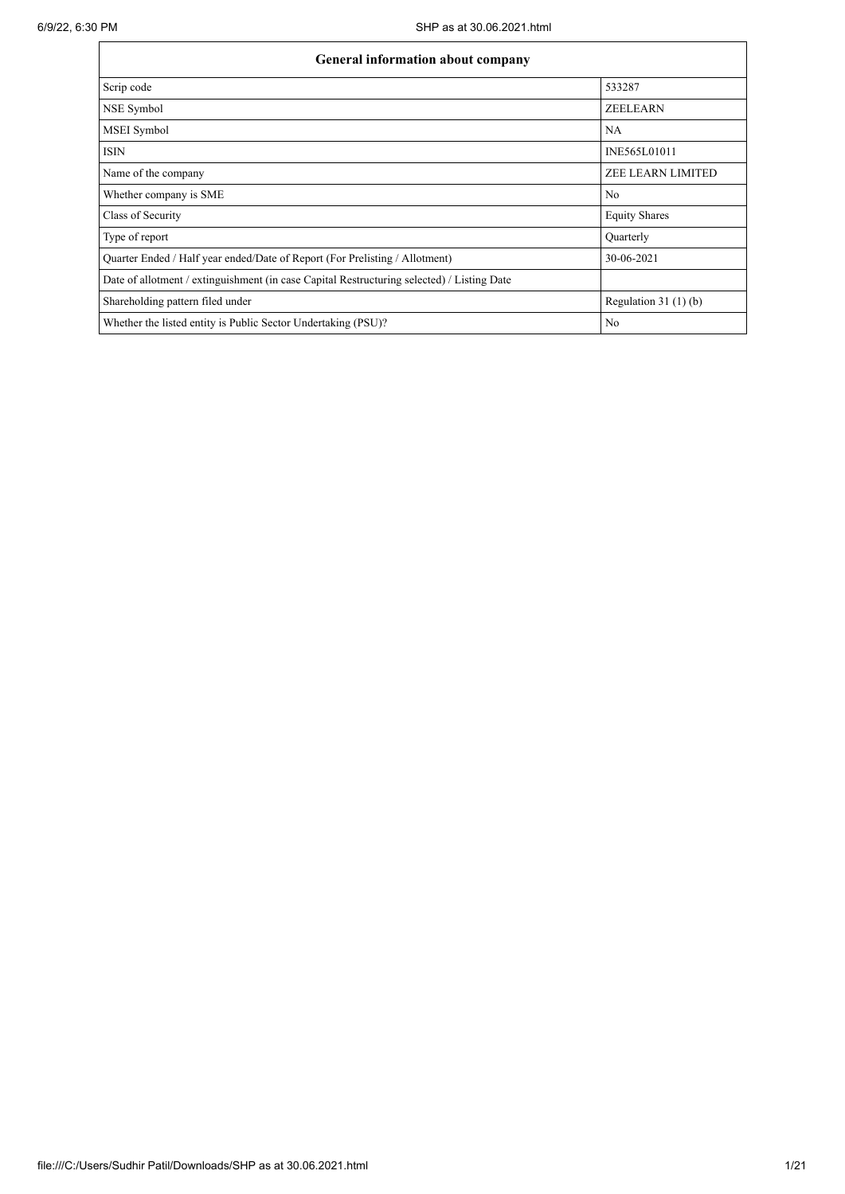| General information about company                                                          |                          |  |  |  |  |  |  |  |
|--------------------------------------------------------------------------------------------|--------------------------|--|--|--|--|--|--|--|
| Scrip code                                                                                 | 533287                   |  |  |  |  |  |  |  |
| NSE Symbol                                                                                 | <b>ZEELEARN</b>          |  |  |  |  |  |  |  |
| MSEI Symbol                                                                                | NA                       |  |  |  |  |  |  |  |
| <b>ISIN</b>                                                                                | INE565L01011             |  |  |  |  |  |  |  |
| Name of the company                                                                        | <b>ZEE LEARN LIMITED</b> |  |  |  |  |  |  |  |
| Whether company is SME                                                                     | No                       |  |  |  |  |  |  |  |
| Class of Security                                                                          | <b>Equity Shares</b>     |  |  |  |  |  |  |  |
| Type of report                                                                             | Quarterly                |  |  |  |  |  |  |  |
| Quarter Ended / Half year ended/Date of Report (For Prelisting / Allotment)                | 30-06-2021               |  |  |  |  |  |  |  |
| Date of allotment / extinguishment (in case Capital Restructuring selected) / Listing Date |                          |  |  |  |  |  |  |  |
| Shareholding pattern filed under                                                           | Regulation $31(1)(b)$    |  |  |  |  |  |  |  |
| Whether the listed entity is Public Sector Undertaking (PSU)?                              | No                       |  |  |  |  |  |  |  |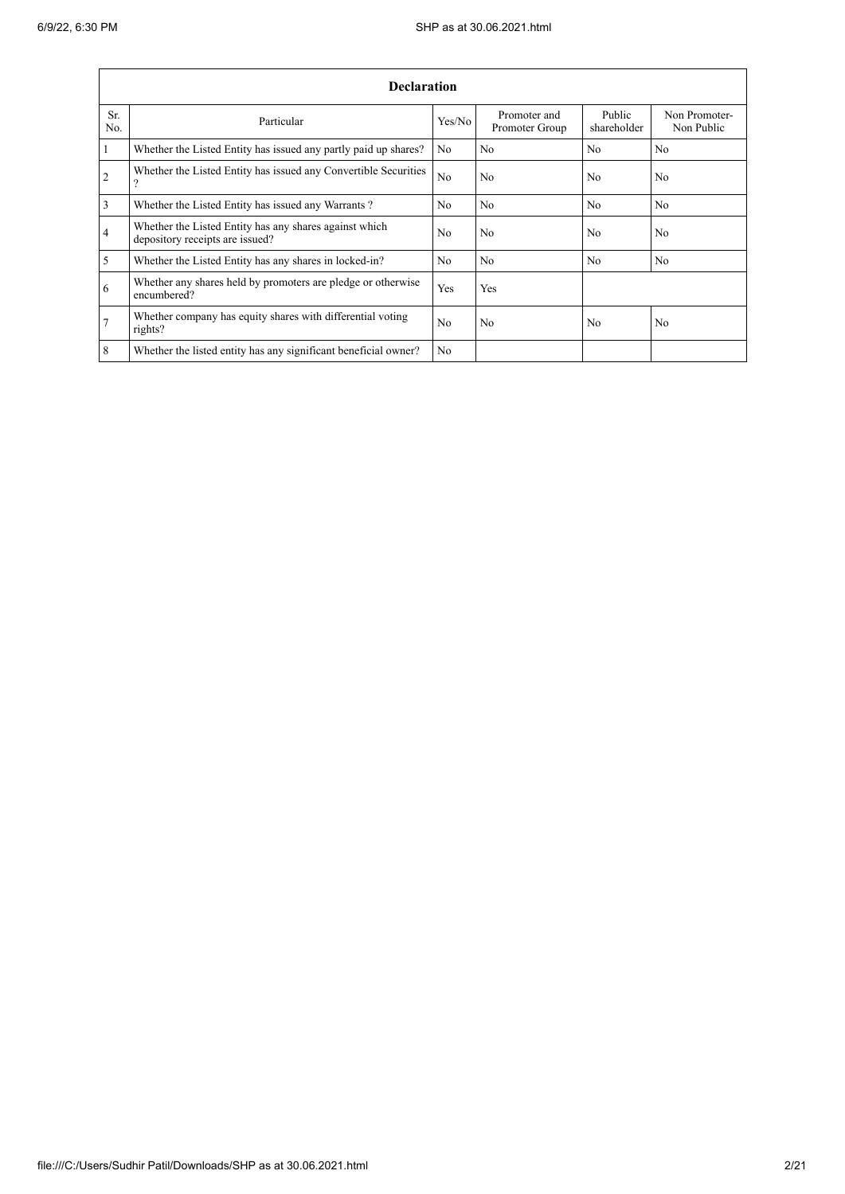.

|                | <b>Declaration</b>                                                                          |                |                                |                       |                             |  |  |  |  |  |  |
|----------------|---------------------------------------------------------------------------------------------|----------------|--------------------------------|-----------------------|-----------------------------|--|--|--|--|--|--|
| Sr.<br>No.     | Particular                                                                                  | Yes/No         | Promoter and<br>Promoter Group | Public<br>shareholder | Non Promoter-<br>Non Public |  |  |  |  |  |  |
| $\vert$ 1      | Whether the Listed Entity has issued any partly paid up shares?                             | No             | No                             | N <sub>o</sub>        | No.                         |  |  |  |  |  |  |
| $\overline{2}$ | Whether the Listed Entity has issued any Convertible Securities<br>$\overline{\mathcal{L}}$ | N <sub>o</sub> | No                             | N <sub>0</sub>        | N <sub>o</sub>              |  |  |  |  |  |  |
| $\overline{3}$ | Whether the Listed Entity has issued any Warrants?                                          | N <sub>0</sub> | No                             | No                    | N <sub>o</sub>              |  |  |  |  |  |  |
| $\overline{4}$ | Whether the Listed Entity has any shares against which<br>depository receipts are issued?   | N <sub>o</sub> | No                             | No                    | No                          |  |  |  |  |  |  |
| $\overline{5}$ | Whether the Listed Entity has any shares in locked-in?                                      | N <sub>0</sub> | N <sub>0</sub>                 | N <sub>0</sub>        | N <sub>0</sub>              |  |  |  |  |  |  |
| 6              | Whether any shares held by promoters are pledge or otherwise<br>encumbered?                 | Yes            | Yes                            |                       |                             |  |  |  |  |  |  |
| $\overline{7}$ | Whether company has equity shares with differential voting<br>rights?                       | N <sub>0</sub> | No                             | N <sub>0</sub>        | N <sub>o</sub>              |  |  |  |  |  |  |
| 8              | Whether the listed entity has any significant beneficial owner?                             | N <sub>0</sub> |                                |                       |                             |  |  |  |  |  |  |

÷,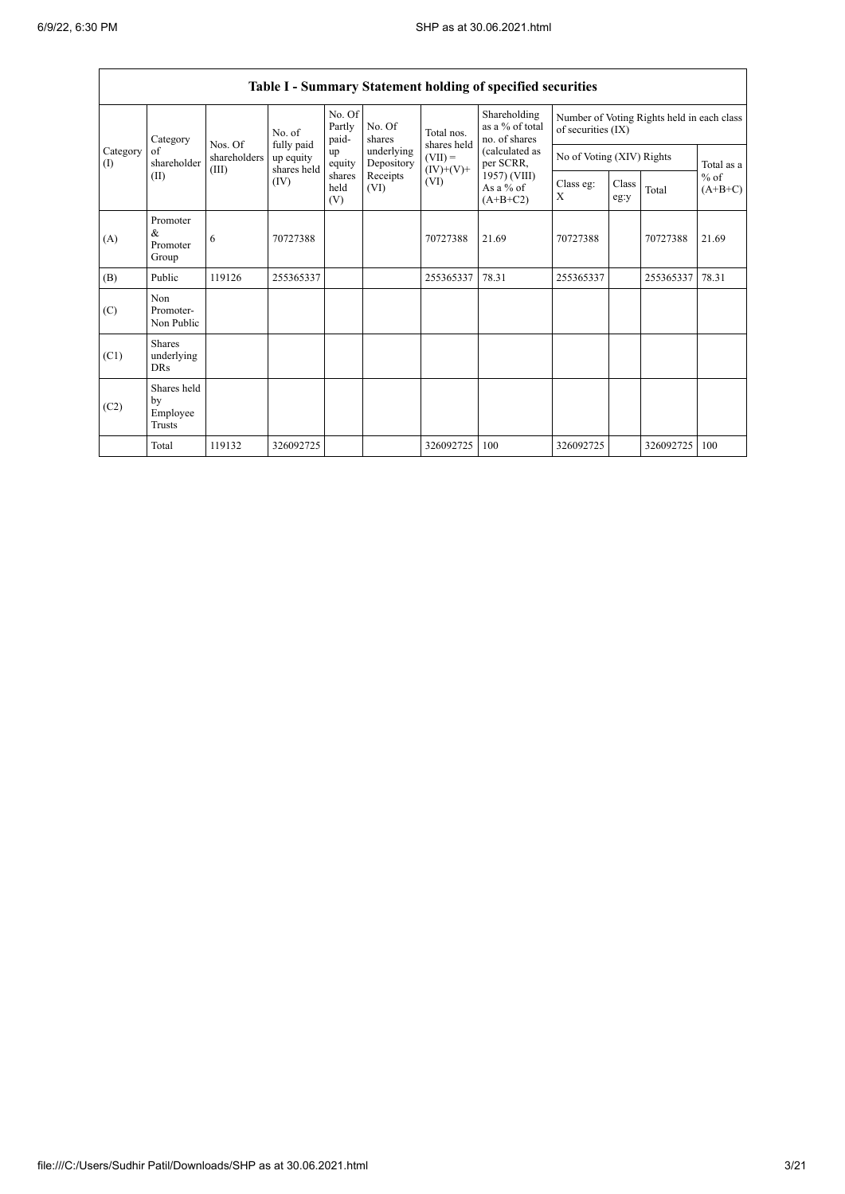|                    |                                           |                         |                                        |                       |                           |                                                  | Table I - Summary Statement holding of specified securities |                                                    |                                                                  |           |                     |  |  |
|--------------------|-------------------------------------------|-------------------------|----------------------------------------|-----------------------|---------------------------|--------------------------------------------------|-------------------------------------------------------------|----------------------------------------------------|------------------------------------------------------------------|-----------|---------------------|--|--|
|                    | Category                                  |                         |                                        | No. of                | No. Of<br>Partly<br>paid- | No. Of<br>shares                                 | Total nos.                                                  | Shareholding<br>as a $%$ of total<br>no. of shares | Number of Voting Rights held in each class<br>of securities (IX) |           |                     |  |  |
| Category<br>$($ I) | of<br>shareholder                         | Nos. Of<br>shareholders | fully paid<br>up equity<br>shares held | up<br>equity          | underlying<br>Depository  | shares held<br>$(VII) =$                         | (calculated as<br>per SCRR,                                 | No of Voting (XIV) Rights                          |                                                                  |           | Total as a          |  |  |
|                    | (II)                                      | (III)                   | (IV)                                   | shares<br>held<br>(V) | Receipts<br>(VI)          | $(IV)+(V)+$<br>(VI)<br>As a $%$ of<br>$(A+B+C2)$ | 1957) (VIII)                                                | Class eg:<br>X                                     | Class<br>eg:y                                                    | Total     | $%$ of<br>$(A+B+C)$ |  |  |
| (A)                | Promoter<br>&<br>Promoter<br>Group        | 6                       | 70727388                               |                       |                           | 70727388                                         | 21.69                                                       | 70727388                                           |                                                                  | 70727388  | 21.69               |  |  |
| (B)                | Public                                    | 119126                  | 255365337                              |                       |                           | 255365337                                        | 78.31                                                       | 255365337                                          |                                                                  | 255365337 | 78.31               |  |  |
| (C)                | Non<br>Promoter-<br>Non Public            |                         |                                        |                       |                           |                                                  |                                                             |                                                    |                                                                  |           |                     |  |  |
| (C1)               | <b>Shares</b><br>underlying<br><b>DRs</b> |                         |                                        |                       |                           |                                                  |                                                             |                                                    |                                                                  |           |                     |  |  |
| (C2)               | Shares held<br>by<br>Employee<br>Trusts   |                         |                                        |                       |                           |                                                  |                                                             |                                                    |                                                                  |           |                     |  |  |
|                    | Total                                     | 119132                  | 326092725                              |                       |                           | 326092725                                        | 100                                                         | 326092725                                          |                                                                  | 326092725 | 100                 |  |  |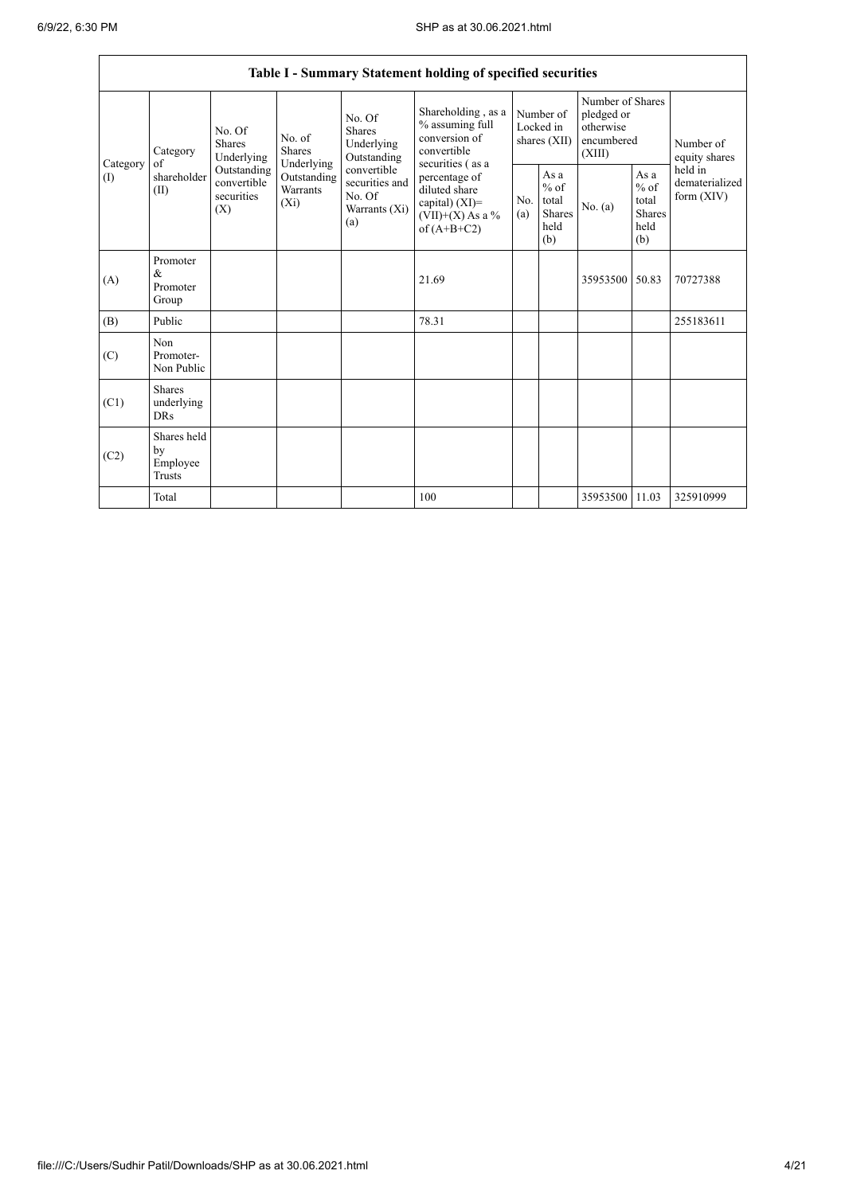|                          |                                                |                                                 |                                                  |                                                                 | Table I - Summary Statement holding of specified securities                                |                                        |                                                  |                                                                     |                                                         |                                           |
|--------------------------|------------------------------------------------|-------------------------------------------------|--------------------------------------------------|-----------------------------------------------------------------|--------------------------------------------------------------------------------------------|----------------------------------------|--------------------------------------------------|---------------------------------------------------------------------|---------------------------------------------------------|-------------------------------------------|
|                          | Category<br>of                                 | No. Of<br><b>Shares</b><br>Underlying           |                                                  | No. Of<br><b>Shares</b><br>Underlying<br>Outstanding            | Shareholding, as a<br>% assuming full<br>conversion of<br>convertible<br>securities (as a  | Number of<br>Locked in<br>shares (XII) |                                                  | Number of Shares<br>pledged or<br>otherwise<br>encumbered<br>(XIII) |                                                         | Number of<br>equity shares                |
| Category<br>$($ $\Gamma$ | shareholder<br>(II)                            | Outstanding<br>convertible<br>securities<br>(X) | Underlying<br>Outstanding<br>Warrants<br>$(X_i)$ | convertible<br>securities and<br>No. Of<br>Warrants (Xi)<br>(a) | percentage of<br>diluted share<br>capital) $(XI)$ =<br>$(VII)+(X)$ As a %<br>of $(A+B+C2)$ | No.<br>(a)                             | As a<br>$%$ of<br>total<br>Shares<br>held<br>(b) | No. (a)                                                             | As a<br>$%$ of<br>total<br><b>Shares</b><br>held<br>(b) | held in<br>dematerialized<br>form $(XIV)$ |
| (A)                      | Promoter<br>$\&$<br>Promoter<br>Group          |                                                 |                                                  |                                                                 | 21.69                                                                                      |                                        |                                                  | 35953500                                                            | 50.83                                                   | 70727388                                  |
| (B)                      | Public                                         |                                                 |                                                  |                                                                 | 78.31                                                                                      |                                        |                                                  |                                                                     |                                                         | 255183611                                 |
| (C)                      | Non<br>Promoter-<br>Non Public                 |                                                 |                                                  |                                                                 |                                                                                            |                                        |                                                  |                                                                     |                                                         |                                           |
| (C1)                     | <b>Shares</b><br>underlying<br><b>DRs</b>      |                                                 |                                                  |                                                                 |                                                                                            |                                        |                                                  |                                                                     |                                                         |                                           |
| (C2)                     | Shares held<br>by<br>Employee<br><b>Trusts</b> |                                                 |                                                  |                                                                 |                                                                                            |                                        |                                                  |                                                                     |                                                         |                                           |
|                          | Total                                          |                                                 |                                                  |                                                                 | 100                                                                                        |                                        |                                                  | 35953500 11.03                                                      |                                                         | 325910999                                 |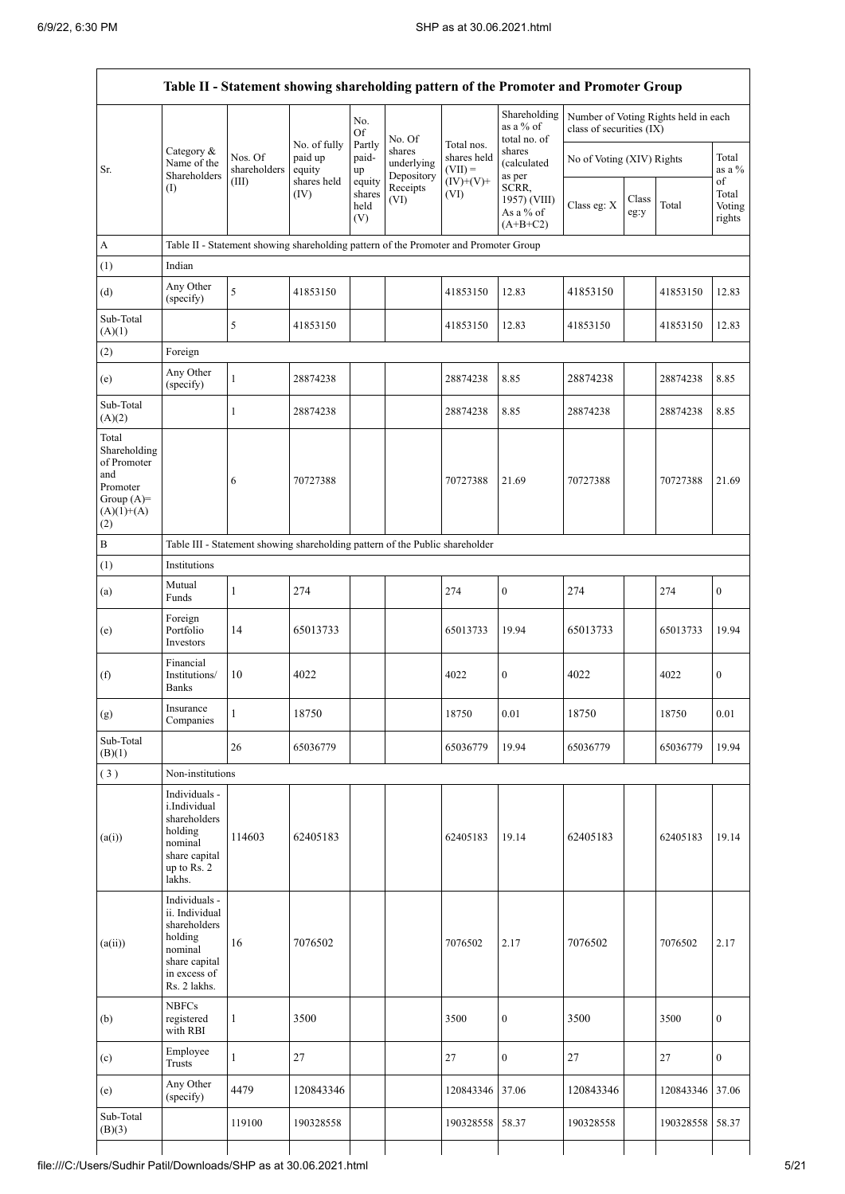|                                                                                                |                                                                                                                                    |                                                                                      | No. of fully                     | No.<br><b>Of</b><br>Partly  | No. Of                                         | Total nos.                              | Shareholding<br>as a % of<br>total no. of          | class of securities (IX) |                                                      | Number of Voting Rights held in each |                           |
|------------------------------------------------------------------------------------------------|------------------------------------------------------------------------------------------------------------------------------------|--------------------------------------------------------------------------------------|----------------------------------|-----------------------------|------------------------------------------------|-----------------------------------------|----------------------------------------------------|--------------------------|------------------------------------------------------|--------------------------------------|---------------------------|
| Sr.                                                                                            | Category &<br>Name of the<br>Shareholders<br>(1)                                                                                   | Nos. Of<br>shareholders<br>(III)                                                     | paid up<br>equity<br>shares held | paid-<br>$\rm up$<br>equity | shares<br>underlying<br>Depository<br>Receipts | shares held<br>$(VII) =$<br>$(IV)+(V)+$ | shares<br>(calculated<br>as per                    |                          | Total<br>No of Voting (XIV) Rights<br>as a $%$<br>of |                                      |                           |
|                                                                                                |                                                                                                                                    |                                                                                      | (IV)                             | shares<br>held<br>(V)       | (VI)                                           | (VI)                                    | SCRR,<br>1957) (VIII)<br>As a $%$ of<br>$(A+B+C2)$ | Class eg: X              | Class<br>eg:y                                        | Total                                | Total<br>Voting<br>rights |
| $\mathbf{A}$                                                                                   |                                                                                                                                    | Table II - Statement showing shareholding pattern of the Promoter and Promoter Group |                                  |                             |                                                |                                         |                                                    |                          |                                                      |                                      |                           |
| (1)                                                                                            | Indian                                                                                                                             |                                                                                      |                                  |                             |                                                |                                         |                                                    |                          |                                                      |                                      |                           |
| (d)                                                                                            | Any Other<br>(specify)                                                                                                             | 5                                                                                    | 41853150                         |                             |                                                | 41853150                                | 12.83                                              | 41853150                 |                                                      | 41853150                             | 12.83                     |
| Sub-Total<br>(A)(1)                                                                            |                                                                                                                                    | 5                                                                                    | 41853150                         |                             |                                                | 41853150                                | 12.83                                              | 41853150                 |                                                      | 41853150                             | 12.83                     |
| (2)                                                                                            | Foreign                                                                                                                            |                                                                                      |                                  |                             |                                                |                                         |                                                    |                          |                                                      |                                      |                           |
| (e)                                                                                            | Any Other<br>(specify)                                                                                                             | $\mathbf{1}$                                                                         | 28874238                         |                             |                                                | 28874238                                | 8.85                                               | 28874238                 |                                                      | 28874238                             | 8.85                      |
| Sub-Total<br>(A)(2)                                                                            |                                                                                                                                    | $\mathbf{1}$                                                                         | 28874238                         |                             |                                                | 28874238                                | 8.85                                               | 28874238                 |                                                      | 28874238                             | 8.85                      |
| Total<br>Shareholding<br>of Promoter<br>and<br>Promoter<br>Group $(A)=$<br>$(A)(1)+(A)$<br>(2) |                                                                                                                                    | 6                                                                                    | 70727388                         |                             |                                                | 70727388                                | 21.69                                              | 70727388                 |                                                      | 70727388                             | 21.69                     |
| $\, {\bf B}$                                                                                   |                                                                                                                                    | Table III - Statement showing shareholding pattern of the Public shareholder         |                                  |                             |                                                |                                         |                                                    |                          |                                                      |                                      |                           |
| (1)                                                                                            | Institutions                                                                                                                       |                                                                                      |                                  |                             |                                                |                                         |                                                    |                          |                                                      |                                      |                           |
| (a)                                                                                            | Mutual<br>Funds                                                                                                                    | $\mathbf{1}$                                                                         | 274                              |                             |                                                | 274                                     | $\boldsymbol{0}$                                   | 274                      |                                                      | 274                                  | $\boldsymbol{0}$          |
| (e)                                                                                            | Foreign<br>Portfolio<br>Investors                                                                                                  | 14                                                                                   | 65013733                         |                             |                                                | 65013733                                | 19.94                                              | 65013733                 |                                                      | 65013733                             | 19.94                     |
| (f)                                                                                            | Financial<br>Institutions/<br><b>Banks</b>                                                                                         | 10                                                                                   | 4022                             |                             |                                                | 4022                                    | $\boldsymbol{0}$                                   | 4022                     |                                                      | 4022                                 | $\bf{0}$                  |
| (g)                                                                                            | Insurance<br>Companies                                                                                                             | $\mathbf{1}$                                                                         | 18750                            |                             |                                                | 18750                                   | 0.01                                               | 18750                    |                                                      | 18750                                | 0.01                      |
| Sub-Total<br>(B)(1)                                                                            |                                                                                                                                    | 26                                                                                   | 65036779                         |                             |                                                | 65036779                                | 19.94                                              | 65036779                 |                                                      | 65036779                             | 19.94                     |
| (3)                                                                                            | Non-institutions                                                                                                                   |                                                                                      |                                  |                             |                                                |                                         |                                                    |                          |                                                      |                                      |                           |
| (a(i))                                                                                         | Individuals -<br>i.Individual<br>shareholders<br>holding<br>nominal<br>share capital<br>up to $\overline{\text{Rs}}$ . 2<br>lakhs. | 114603                                                                               | 62405183                         |                             |                                                | 62405183                                | 19.14                                              | 62405183                 |                                                      | 62405183                             | 19.14                     |
| (a(ii))                                                                                        | Individuals -<br>ii. Individual<br>shareholders<br>holding<br>nominal<br>share capital<br>in excess of<br>Rs. 2 lakhs.             | 16                                                                                   | 7076502                          |                             |                                                | 7076502                                 | 2.17                                               | 7076502                  |                                                      | 7076502                              | 2.17                      |
| (b)                                                                                            | <b>NBFCs</b><br>registered<br>with RBI                                                                                             | 1                                                                                    | 3500                             |                             |                                                | 3500                                    | $\boldsymbol{0}$                                   | 3500                     |                                                      | 3500                                 | $\mathbf{0}$              |
| (c)                                                                                            | Employee<br><b>Trusts</b>                                                                                                          | 1                                                                                    | 27                               |                             |                                                | 27                                      | $\boldsymbol{0}$                                   | 27                       |                                                      | $27\,$                               | $\boldsymbol{0}$          |
| (e)                                                                                            | Any Other<br>(specify)                                                                                                             | 4479                                                                                 | 120843346                        |                             |                                                | 120843346                               | 37.06                                              | 120843346                |                                                      | 120843346 37.06                      |                           |
| Sub-Total                                                                                      |                                                                                                                                    | 119100                                                                               | 190328558                        |                             |                                                | 190328558                               | 58.37                                              | 190328558                |                                                      | 190328558 58.37                      |                           |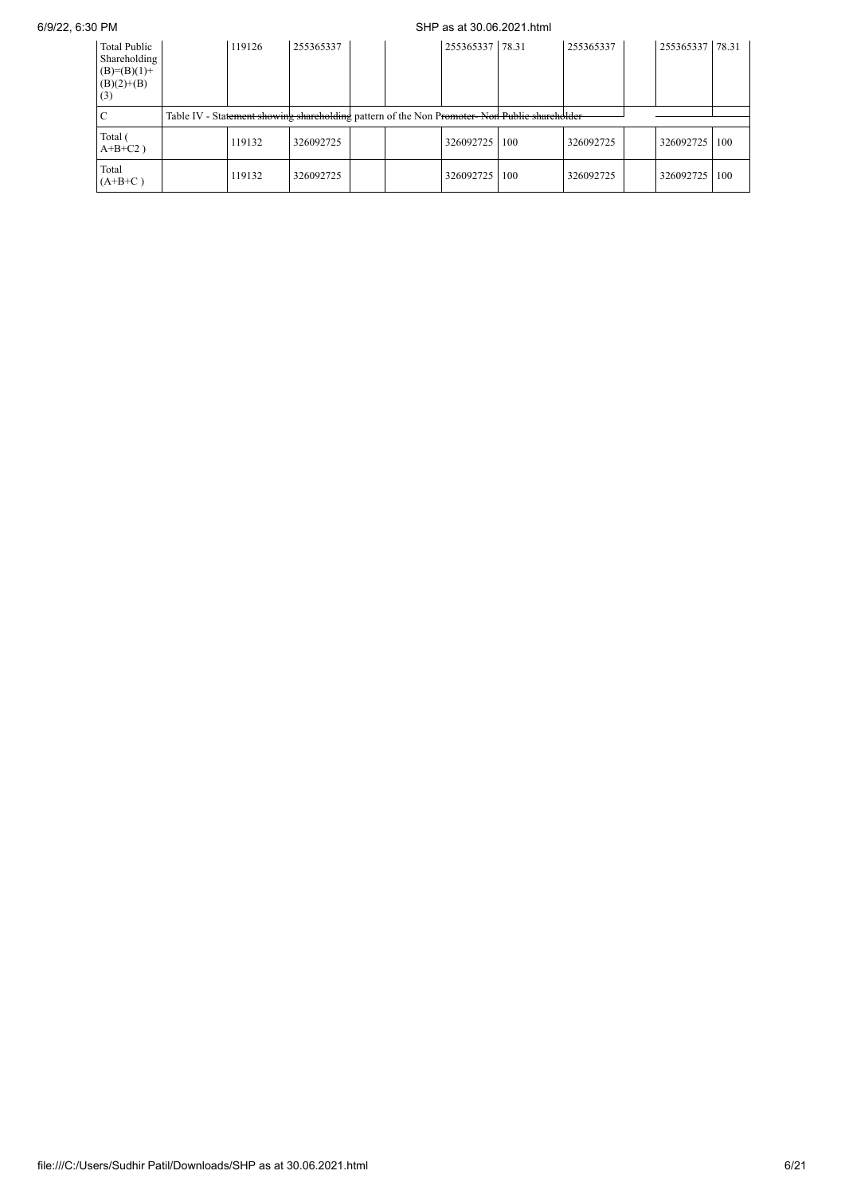## 6/9/22, 6:30 PM SHP as at 30.06.2021.html

| <b>Total Public</b><br>Shareholding<br>$(B)=(B)(1)+$<br>$(B)(2)+(B)$<br>(3) | 119126 | 255365337 |  | 255365337 78.31 |                                                                                              | 255365337 | 255365337 78.31 |     |
|-----------------------------------------------------------------------------|--------|-----------|--|-----------------|----------------------------------------------------------------------------------------------|-----------|-----------------|-----|
|                                                                             |        |           |  |                 | Table IV - Statement showing shareholding pattern of the Non Promoter-Non Public shareholder |           |                 |     |
| Total (<br>$A+B+C2$ )                                                       | 119132 | 326092725 |  | 326092725       | 100                                                                                          | 326092725 | 326092725       | 100 |
| Total<br>$(A+B+C)$                                                          | 119132 | 326092725 |  | 326092725       | 100                                                                                          | 326092725 | 326092725   100 |     |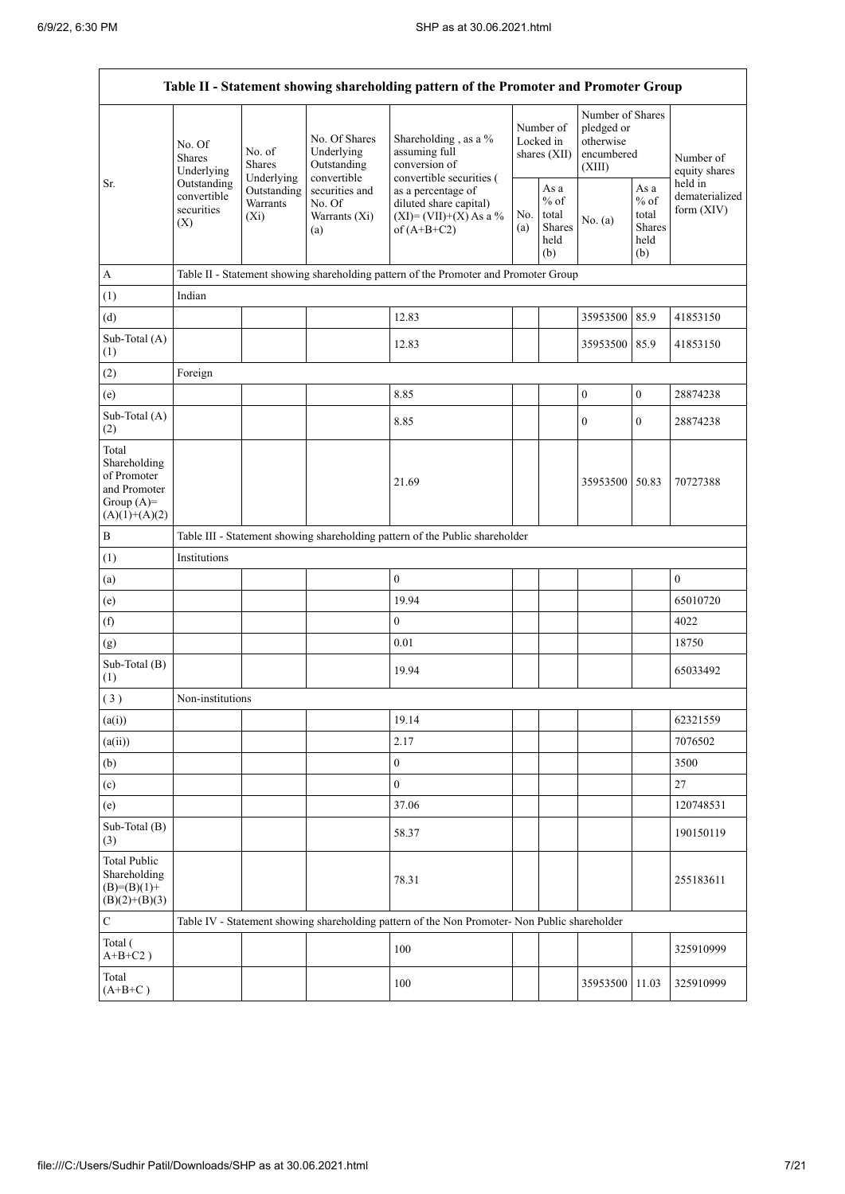.

|                                                                                         |                                                                                                                                             |                                    |                                                  | Table II - Statement showing shareholding pattern of the Promoter and Promoter Group          |  |                                                  |                                                                     |                                                         |                                           |
|-----------------------------------------------------------------------------------------|---------------------------------------------------------------------------------------------------------------------------------------------|------------------------------------|--------------------------------------------------|-----------------------------------------------------------------------------------------------|--|--------------------------------------------------|---------------------------------------------------------------------|---------------------------------------------------------|-------------------------------------------|
|                                                                                         | No. Of Shares<br>No. Of<br>Underlying<br>No. of<br><b>Shares</b><br><b>Shares</b><br>Outstanding<br>Underlying<br>Underlying<br>convertible |                                    |                                                  | Shareholding, as a %<br>assuming full<br>conversion of<br>convertible securities (            |  | Number of<br>Locked in<br>shares (XII)           | Number of Shares<br>pledged or<br>otherwise<br>encumbered<br>(XIII) |                                                         | Number of<br>equity shares                |
| Sr.                                                                                     | Outstanding<br>convertible<br>securities<br>(X)                                                                                             | Outstanding<br>Warrants<br>$(X_i)$ | securities and<br>No. Of<br>Warrants (Xi)<br>(a) | as a percentage of<br>diluted share capital)<br>$(XI) = (VII)+(X) As a %$<br>of $(A+B+C2)$    |  | As a<br>$%$ of<br>total<br>Shares<br>held<br>(b) | No. (a)                                                             | As a<br>$%$ of<br>total<br><b>Shares</b><br>held<br>(b) | held in<br>dematerialized<br>form $(XIV)$ |
| $\boldsymbol{\rm{A}}$                                                                   |                                                                                                                                             |                                    |                                                  | Table II - Statement showing shareholding pattern of the Promoter and Promoter Group          |  |                                                  |                                                                     |                                                         |                                           |
| (1)                                                                                     | Indian                                                                                                                                      |                                    |                                                  |                                                                                               |  |                                                  |                                                                     |                                                         |                                           |
| (d)                                                                                     |                                                                                                                                             |                                    |                                                  | 12.83                                                                                         |  |                                                  | 35953500                                                            | 85.9                                                    | 41853150                                  |
| Sub-Total (A)<br>(1)                                                                    |                                                                                                                                             |                                    |                                                  | 12.83                                                                                         |  |                                                  | 35953500                                                            | 85.9                                                    | 41853150                                  |
| (2)                                                                                     | Foreign                                                                                                                                     |                                    |                                                  |                                                                                               |  |                                                  |                                                                     |                                                         |                                           |
| (e)                                                                                     |                                                                                                                                             |                                    |                                                  | 8.85                                                                                          |  |                                                  | $\boldsymbol{0}$                                                    | $\boldsymbol{0}$                                        | 28874238                                  |
| Sub-Total (A)<br>(2)                                                                    |                                                                                                                                             |                                    |                                                  | 8.85                                                                                          |  |                                                  | $\boldsymbol{0}$                                                    | $\mathbf{0}$                                            | 28874238                                  |
| Total<br>Shareholding<br>of Promoter<br>and Promoter<br>Group $(A)=$<br>$(A)(1)+(A)(2)$ |                                                                                                                                             |                                    |                                                  | 21.69                                                                                         |  |                                                  | 35953500 50.83                                                      |                                                         | 70727388                                  |
| $\, {\bf B}$                                                                            |                                                                                                                                             |                                    |                                                  | Table III - Statement showing shareholding pattern of the Public shareholder                  |  |                                                  |                                                                     |                                                         |                                           |
| (1)                                                                                     | Institutions                                                                                                                                |                                    |                                                  |                                                                                               |  |                                                  |                                                                     |                                                         |                                           |
| (a)                                                                                     |                                                                                                                                             |                                    |                                                  | $\mathbf{0}$                                                                                  |  |                                                  |                                                                     |                                                         | $\boldsymbol{0}$                          |
| (e)                                                                                     |                                                                                                                                             |                                    |                                                  | 19.94                                                                                         |  |                                                  |                                                                     |                                                         | 65010720                                  |
| (f)                                                                                     |                                                                                                                                             |                                    |                                                  | $\mathbf{0}$                                                                                  |  |                                                  |                                                                     |                                                         | 4022                                      |
| (g)                                                                                     |                                                                                                                                             |                                    |                                                  | 0.01                                                                                          |  |                                                  |                                                                     |                                                         | 18750                                     |
| Sub-Total (B)<br>(1)                                                                    |                                                                                                                                             |                                    |                                                  | 19.94                                                                                         |  |                                                  |                                                                     |                                                         | 65033492                                  |
| (3)                                                                                     | Non-institutions                                                                                                                            |                                    |                                                  |                                                                                               |  |                                                  |                                                                     |                                                         |                                           |
| (a(i))                                                                                  |                                                                                                                                             |                                    |                                                  | 19.14                                                                                         |  |                                                  |                                                                     |                                                         | 62321559                                  |
| (a(ii))                                                                                 |                                                                                                                                             |                                    |                                                  | 2.17                                                                                          |  |                                                  |                                                                     |                                                         | 7076502                                   |
| (b)                                                                                     |                                                                                                                                             |                                    |                                                  | $\mathbf{0}$                                                                                  |  |                                                  |                                                                     |                                                         | 3500                                      |
| (c)                                                                                     |                                                                                                                                             |                                    |                                                  | $\boldsymbol{0}$                                                                              |  |                                                  |                                                                     |                                                         | $27\,$                                    |
| (e)                                                                                     |                                                                                                                                             |                                    |                                                  | 37.06                                                                                         |  |                                                  |                                                                     |                                                         | 120748531                                 |
| Sub-Total (B)<br>(3)                                                                    |                                                                                                                                             |                                    |                                                  | 58.37                                                                                         |  |                                                  |                                                                     |                                                         | 190150119                                 |
| <b>Total Public</b><br>Shareholding<br>$(B)= (B)(1) +$<br>$(B)(2)+(B)(3)$               |                                                                                                                                             |                                    |                                                  | 78.31                                                                                         |  |                                                  |                                                                     |                                                         | 255183611                                 |
| $\mathbf C$                                                                             |                                                                                                                                             |                                    |                                                  | Table IV - Statement showing shareholding pattern of the Non Promoter- Non Public shareholder |  |                                                  |                                                                     |                                                         |                                           |
| Total (<br>$A+B+C2$ )                                                                   |                                                                                                                                             |                                    |                                                  | 100                                                                                           |  |                                                  |                                                                     |                                                         | 325910999                                 |
| Total<br>$(A+B+C)$                                                                      |                                                                                                                                             |                                    |                                                  | 100                                                                                           |  |                                                  | 35953500 11.03                                                      |                                                         | 325910999                                 |

÷,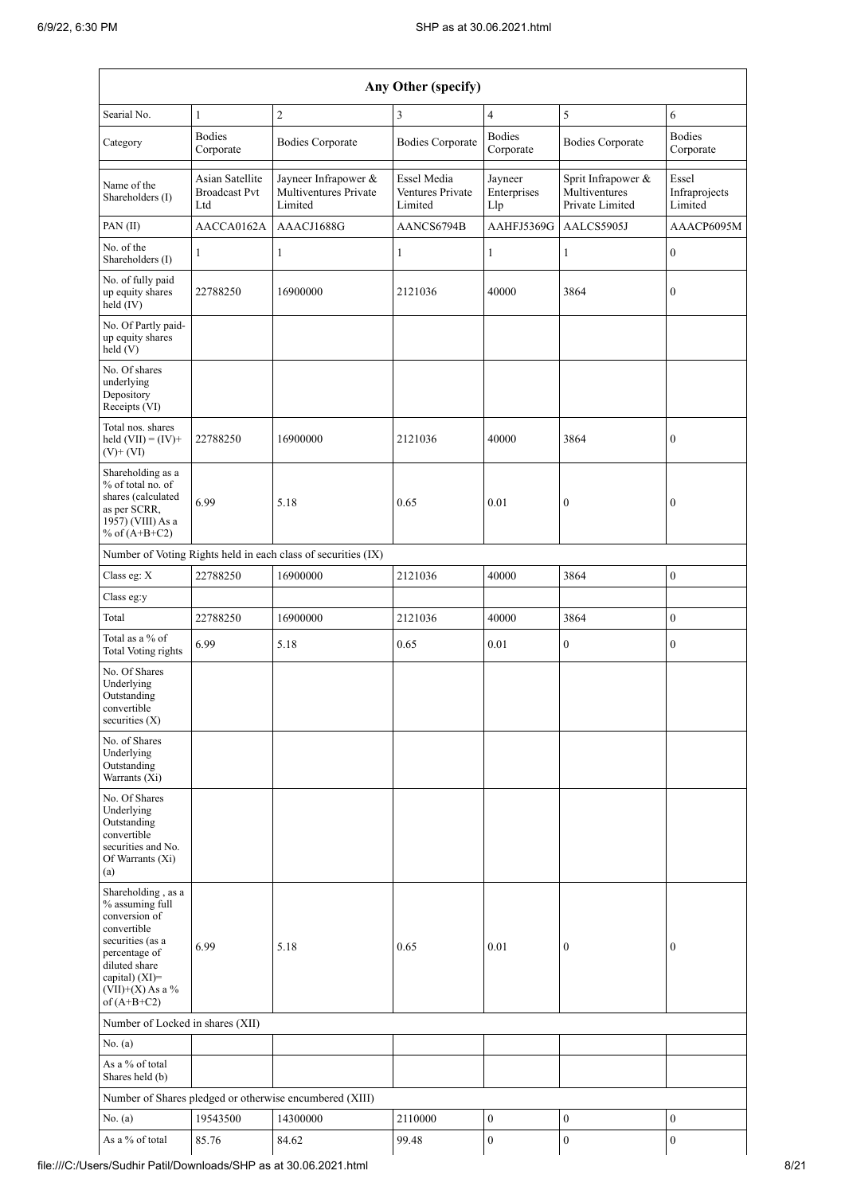| Any Other (specify)                                                                                                                                                                  |                                                |                                                               |                                            |                               |                                                        |                                   |  |  |  |
|--------------------------------------------------------------------------------------------------------------------------------------------------------------------------------------|------------------------------------------------|---------------------------------------------------------------|--------------------------------------------|-------------------------------|--------------------------------------------------------|-----------------------------------|--|--|--|
| Searial No.                                                                                                                                                                          | $\mathbf{1}$                                   | $\overline{2}$                                                | 3                                          | $\overline{4}$                | 5                                                      | 6                                 |  |  |  |
| Category                                                                                                                                                                             | <b>Bodies</b><br>Corporate                     | <b>Bodies Corporate</b>                                       | <b>Bodies Corporate</b>                    | <b>Bodies</b><br>Corporate    | <b>Bodies Corporate</b>                                | <b>Bodies</b><br>Corporate        |  |  |  |
| Name of the<br>Shareholders (I)                                                                                                                                                      | Asian Satellite<br><b>Broadcast Pvt</b><br>Ltd | Jayneer Infrapower &<br>Multiventures Private<br>Limited      | Essel Media<br>Ventures Private<br>Limited | Jayneer<br>Enterprises<br>Llp | Sprit Infrapower &<br>Multiventures<br>Private Limited | Essel<br>Infraprojects<br>Limited |  |  |  |
| PAN(II)                                                                                                                                                                              | AACCA0162A                                     | AAACJ1688G                                                    | AANCS6794B                                 | AAHFJ5369G                    | AALCS5905J                                             | AAACP6095M                        |  |  |  |
| No. of the<br>Shareholders (I)                                                                                                                                                       | 1                                              | 1                                                             | 1                                          | $\mathbf{1}$                  | 1                                                      | $\boldsymbol{0}$                  |  |  |  |
| No. of fully paid<br>up equity shares<br>held (IV)                                                                                                                                   | 22788250                                       | 16900000                                                      | 2121036                                    | 40000                         | 3864                                                   | $\boldsymbol{0}$                  |  |  |  |
| No. Of Partly paid-<br>up equity shares<br>held (V)                                                                                                                                  |                                                |                                                               |                                            |                               |                                                        |                                   |  |  |  |
| No. Of shares<br>underlying<br>Depository<br>Receipts (VI)                                                                                                                           |                                                |                                                               |                                            |                               |                                                        |                                   |  |  |  |
| Total nos. shares<br>held $(VII) = (IV) +$<br>$(V)$ + $(VI)$                                                                                                                         | 22788250                                       | 16900000                                                      | 2121036                                    | 40000                         | 3864                                                   | $\boldsymbol{0}$                  |  |  |  |
| Shareholding as a<br>% of total no. of<br>shares (calculated<br>as per SCRR,<br>1957) (VIII) As a<br>% of $(A+B+C2)$                                                                 | 6.99                                           | 5.18                                                          | 0.65                                       | 0.01                          | $\boldsymbol{0}$                                       | $\boldsymbol{0}$                  |  |  |  |
|                                                                                                                                                                                      |                                                | Number of Voting Rights held in each class of securities (IX) |                                            |                               |                                                        |                                   |  |  |  |
| Class eg: X                                                                                                                                                                          | 22788250                                       | 16900000                                                      | 2121036                                    | 40000                         | 3864                                                   | $\boldsymbol{0}$                  |  |  |  |
| Class eg:y                                                                                                                                                                           |                                                |                                                               |                                            |                               |                                                        |                                   |  |  |  |
| Total                                                                                                                                                                                | 22788250                                       | 16900000                                                      | 2121036                                    | 40000                         | 3864                                                   | $\boldsymbol{0}$                  |  |  |  |
| Total as a % of<br><b>Total Voting rights</b>                                                                                                                                        | 6.99                                           | 5.18                                                          | 0.65                                       | 0.01                          | $\overline{0}$                                         | $\mathbf{0}$                      |  |  |  |
| No. Of Shares<br>Underlying<br>Outstanding<br>convertible<br>securities $(X)$                                                                                                        |                                                |                                                               |                                            |                               |                                                        |                                   |  |  |  |
| No. of Shares<br>Underlying<br>Outstanding<br>Warrants (Xi)                                                                                                                          |                                                |                                                               |                                            |                               |                                                        |                                   |  |  |  |
| No. Of Shares<br>Underlying<br>Outstanding<br>convertible<br>securities and No.<br>Of Warrants (Xi)<br>(a)                                                                           |                                                |                                                               |                                            |                               |                                                        |                                   |  |  |  |
| Shareholding, as a<br>% assuming full<br>conversion of<br>convertible<br>securities (as a<br>percentage of<br>diluted share<br>capital) (XI)=<br>$(VII)+(X)$ As a %<br>of $(A+B+C2)$ | 6.99                                           | 5.18                                                          | 0.65                                       | 0.01                          | $\boldsymbol{0}$                                       | $\boldsymbol{0}$                  |  |  |  |
| Number of Locked in shares (XII)                                                                                                                                                     |                                                |                                                               |                                            |                               |                                                        |                                   |  |  |  |
| No. (a)                                                                                                                                                                              |                                                |                                                               |                                            |                               |                                                        |                                   |  |  |  |
| As a % of total<br>Shares held (b)                                                                                                                                                   |                                                |                                                               |                                            |                               |                                                        |                                   |  |  |  |
|                                                                                                                                                                                      |                                                | Number of Shares pledged or otherwise encumbered (XIII)       |                                            |                               |                                                        |                                   |  |  |  |
| No. (a)                                                                                                                                                                              | 19543500                                       | 14300000                                                      | 2110000                                    | $\boldsymbol{0}$              | $\boldsymbol{0}$                                       | $\boldsymbol{0}$                  |  |  |  |
| As a % of total                                                                                                                                                                      | 85.76                                          | 84.62                                                         | 99.48                                      | $\boldsymbol{0}$              | $\boldsymbol{0}$                                       | $\boldsymbol{0}$                  |  |  |  |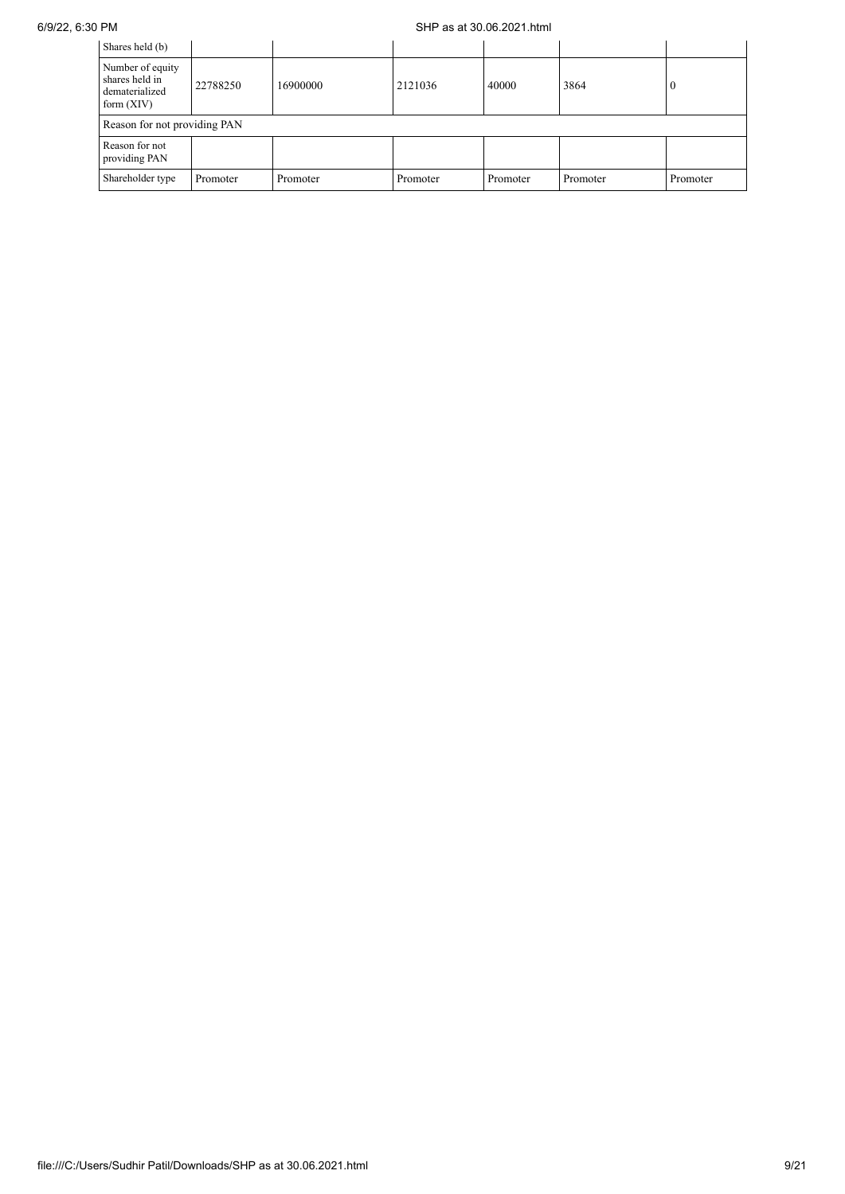## 6/9/22, 6:30 PM SHP as at 30.06.2021.html

| Shares held (b)                                                      |          |          |          |          |          |          |
|----------------------------------------------------------------------|----------|----------|----------|----------|----------|----------|
| Number of equity<br>shares held in<br>dematerialized<br>form $(XIV)$ | 22788250 | 16900000 | 2121036  | 40000    | 3864     |          |
| Reason for not providing PAN                                         |          |          |          |          |          |          |
| Reason for not<br>providing PAN                                      |          |          |          |          |          |          |
| Shareholder type                                                     | Promoter | Promoter | Promoter | Promoter | Promoter | Promoter |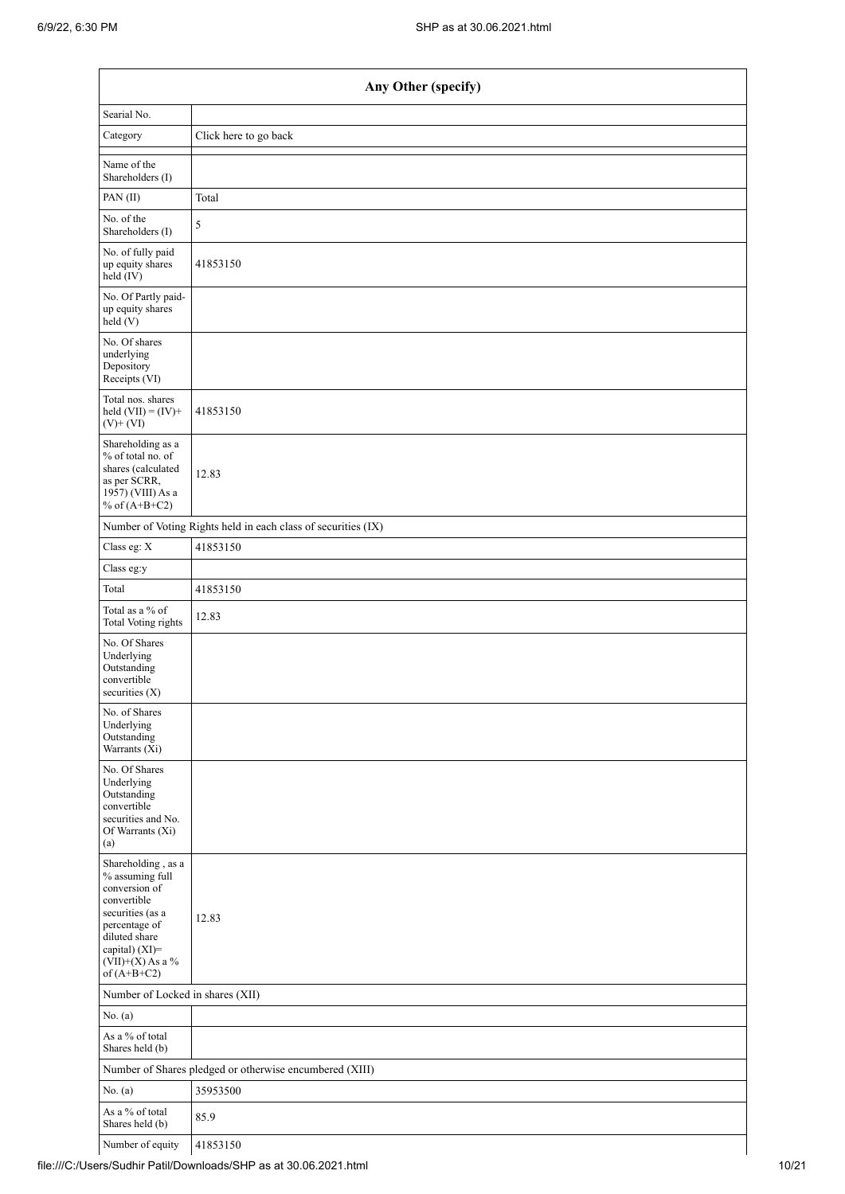$\mathbf{r}$ 

|                                                                                                                                                                                                       | Any Other (specify)                                           |  |  |  |  |  |  |  |  |
|-------------------------------------------------------------------------------------------------------------------------------------------------------------------------------------------------------|---------------------------------------------------------------|--|--|--|--|--|--|--|--|
| Searial No.                                                                                                                                                                                           |                                                               |  |  |  |  |  |  |  |  |
| Category                                                                                                                                                                                              | Click here to go back                                         |  |  |  |  |  |  |  |  |
| Name of the<br>Shareholders (I)                                                                                                                                                                       |                                                               |  |  |  |  |  |  |  |  |
| PAN(II)                                                                                                                                                                                               | Total                                                         |  |  |  |  |  |  |  |  |
| No. of the<br>Shareholders (I)                                                                                                                                                                        | 5                                                             |  |  |  |  |  |  |  |  |
| No. of fully paid<br>up equity shares<br>held (IV)                                                                                                                                                    | 41853150                                                      |  |  |  |  |  |  |  |  |
| No. Of Partly paid-<br>up equity shares<br>held(V)                                                                                                                                                    |                                                               |  |  |  |  |  |  |  |  |
| No. Of shares<br>underlying<br>Depository<br>Receipts (VI)                                                                                                                                            |                                                               |  |  |  |  |  |  |  |  |
| Total nos. shares<br>held $(VII) = (IV) +$<br>$(V)$ + $(VI)$                                                                                                                                          | 41853150                                                      |  |  |  |  |  |  |  |  |
| Shareholding as a<br>% of total no. of<br>shares (calculated<br>as per SCRR,<br>1957) (VIII) As a<br>% of $(A+B+C2)$                                                                                  | 12.83                                                         |  |  |  |  |  |  |  |  |
|                                                                                                                                                                                                       | Number of Voting Rights held in each class of securities (IX) |  |  |  |  |  |  |  |  |
| Class eg: X                                                                                                                                                                                           | 41853150                                                      |  |  |  |  |  |  |  |  |
| Class eg:y                                                                                                                                                                                            |                                                               |  |  |  |  |  |  |  |  |
| Total                                                                                                                                                                                                 | 41853150                                                      |  |  |  |  |  |  |  |  |
| Total as a $\%$ of<br>Total Voting rights                                                                                                                                                             | 12.83                                                         |  |  |  |  |  |  |  |  |
| No. Of Shares<br>Underlying<br>Outstanding<br>convertible<br>securities $(X)$                                                                                                                         |                                                               |  |  |  |  |  |  |  |  |
| No. of Shares<br>Underlying<br>Outstanding<br>Warrants (Xi)                                                                                                                                           |                                                               |  |  |  |  |  |  |  |  |
| No. Of Shares<br>Underlying<br>Outstanding<br>convertible<br>securities and No.<br>Of Warrants (Xi)<br>(a)                                                                                            |                                                               |  |  |  |  |  |  |  |  |
| Shareholding, as a<br>% assuming full<br>conversion of<br>convertible<br>securities (as a<br>percentage of<br>diluted share<br>capital) (XI)=<br>$({\rm VII}){+}({\rm X})$ As a $\%$<br>of $(A+B+C2)$ | 12.83                                                         |  |  |  |  |  |  |  |  |
| Number of Locked in shares (XII)                                                                                                                                                                      |                                                               |  |  |  |  |  |  |  |  |
| No. (a)                                                                                                                                                                                               |                                                               |  |  |  |  |  |  |  |  |
| As a $\%$ of total<br>Shares held (b)                                                                                                                                                                 |                                                               |  |  |  |  |  |  |  |  |
|                                                                                                                                                                                                       | Number of Shares pledged or otherwise encumbered (XIII)       |  |  |  |  |  |  |  |  |
| No. (a)                                                                                                                                                                                               | 35953500                                                      |  |  |  |  |  |  |  |  |
| As a % of total<br>Shares held (b)                                                                                                                                                                    | 85.9                                                          |  |  |  |  |  |  |  |  |
| Number of equity                                                                                                                                                                                      | 41853150                                                      |  |  |  |  |  |  |  |  |

h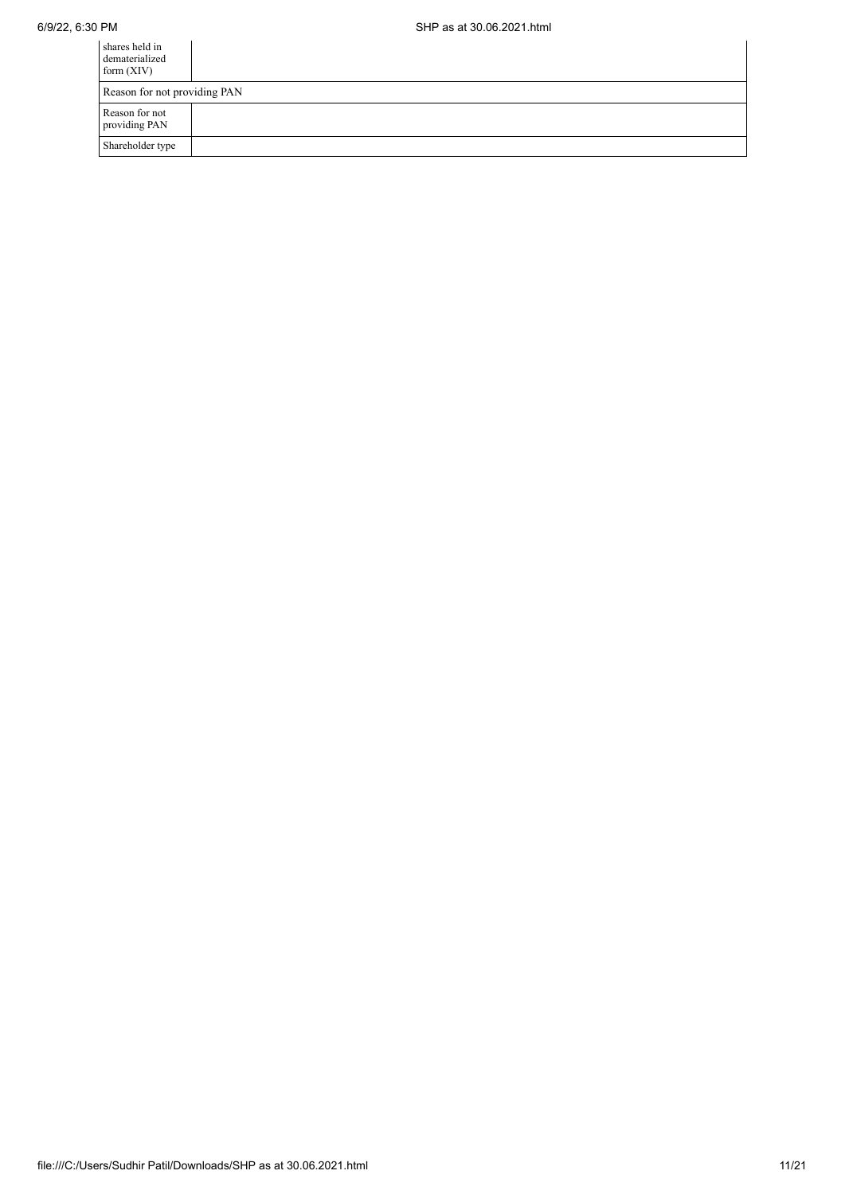| shares held in<br>dematerialized<br>form $(XIV)$ |  |  |  |  |
|--------------------------------------------------|--|--|--|--|
| Reason for not providing PAN                     |  |  |  |  |
| Reason for not<br>providing PAN                  |  |  |  |  |
| Shareholder type                                 |  |  |  |  |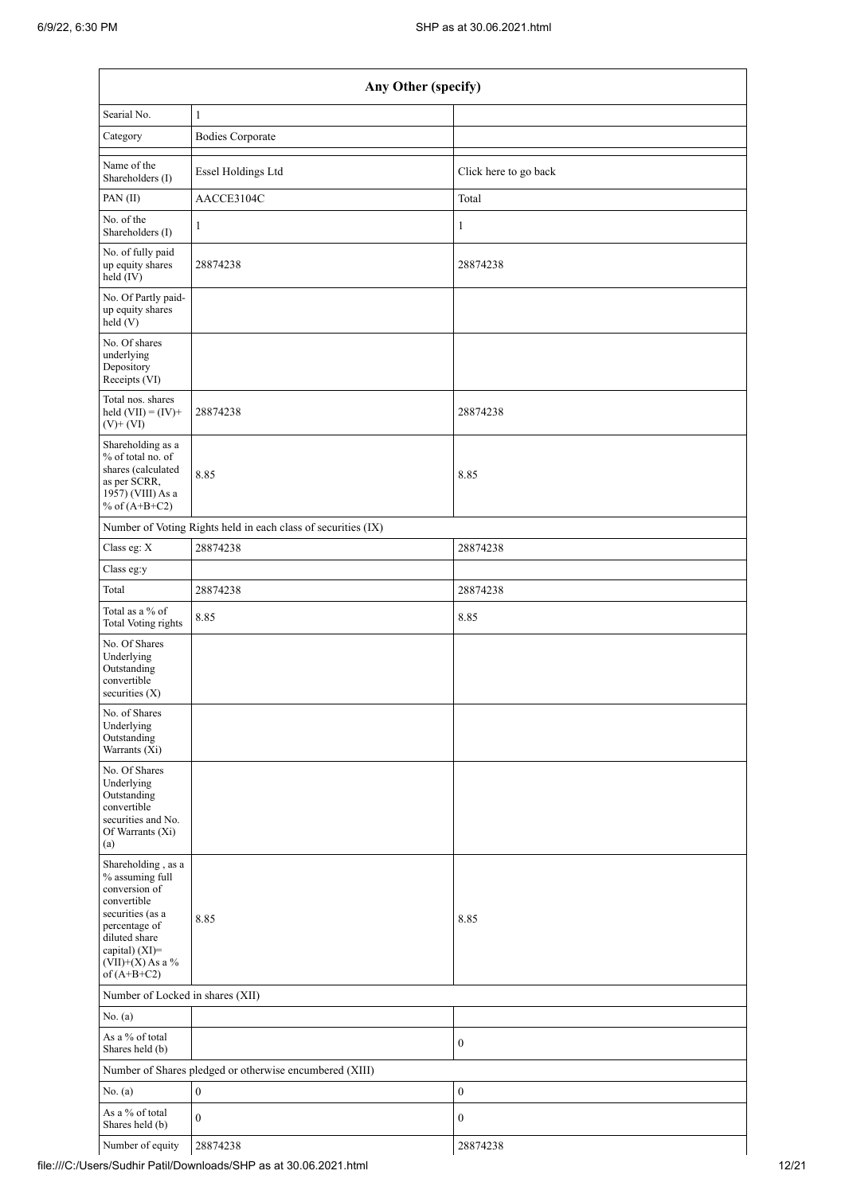| Any Other (specify)                                                                                                                                                                  |                                                               |                       |  |  |  |  |  |  |  |
|--------------------------------------------------------------------------------------------------------------------------------------------------------------------------------------|---------------------------------------------------------------|-----------------------|--|--|--|--|--|--|--|
| Searial No.                                                                                                                                                                          | $\mathbf{1}$                                                  |                       |  |  |  |  |  |  |  |
| Category                                                                                                                                                                             | <b>Bodies Corporate</b>                                       |                       |  |  |  |  |  |  |  |
| Name of the<br>Shareholders (I)                                                                                                                                                      | Essel Holdings Ltd                                            | Click here to go back |  |  |  |  |  |  |  |
| PAN $(II)$                                                                                                                                                                           | AACCE3104C                                                    | Total                 |  |  |  |  |  |  |  |
| No. of the<br>Shareholders (I)                                                                                                                                                       | $\mathbf{1}$                                                  | $\mathbf{1}$          |  |  |  |  |  |  |  |
| No. of fully paid<br>up equity shares<br>held (IV)                                                                                                                                   | 28874238                                                      | 28874238              |  |  |  |  |  |  |  |
| No. Of Partly paid-<br>up equity shares<br>held (V)                                                                                                                                  |                                                               |                       |  |  |  |  |  |  |  |
| No. Of shares<br>underlying<br>Depository<br>Receipts (VI)                                                                                                                           |                                                               |                       |  |  |  |  |  |  |  |
| Total nos. shares<br>held $(VII) = (IV) +$<br>$(V)$ + $(VI)$                                                                                                                         | 28874238                                                      | 28874238              |  |  |  |  |  |  |  |
| Shareholding as a<br>% of total no. of<br>shares (calculated<br>as per SCRR,<br>1957) (VIII) As a<br>% of $(A+B+C2)$                                                                 | 8.85                                                          | 8.85                  |  |  |  |  |  |  |  |
|                                                                                                                                                                                      | Number of Voting Rights held in each class of securities (IX) |                       |  |  |  |  |  |  |  |
| Class eg: X                                                                                                                                                                          | 28874238                                                      | 28874238              |  |  |  |  |  |  |  |
| Class eg:y                                                                                                                                                                           |                                                               |                       |  |  |  |  |  |  |  |
| Total                                                                                                                                                                                | 28874238                                                      | 28874238              |  |  |  |  |  |  |  |
| Total as a % of<br><b>Total Voting rights</b>                                                                                                                                        | 8.85                                                          | 8.85                  |  |  |  |  |  |  |  |
| No. Of Shares<br>Underlying<br>Outstanding<br>convertible<br>securities (X)                                                                                                          |                                                               |                       |  |  |  |  |  |  |  |
| No. of Shares<br>Underlying<br>Outstanding<br>Warrants (Xi)                                                                                                                          |                                                               |                       |  |  |  |  |  |  |  |
| No. Of Shares<br>Underlying<br>Outstanding<br>convertible<br>securities and No.<br>Of Warrants (Xi)<br>(a)                                                                           |                                                               |                       |  |  |  |  |  |  |  |
| Shareholding, as a<br>% assuming full<br>conversion of<br>convertible<br>securities (as a<br>percentage of<br>diluted share<br>capital) (XI)=<br>$(VII)+(X)$ As a %<br>of $(A+B+C2)$ | 8.85                                                          | 8.85                  |  |  |  |  |  |  |  |
| Number of Locked in shares (XII)                                                                                                                                                     |                                                               |                       |  |  |  |  |  |  |  |
| No. (a)                                                                                                                                                                              |                                                               |                       |  |  |  |  |  |  |  |
| As a % of total<br>Shares held (b)                                                                                                                                                   |                                                               | $\boldsymbol{0}$      |  |  |  |  |  |  |  |
|                                                                                                                                                                                      | Number of Shares pledged or otherwise encumbered (XIII)       |                       |  |  |  |  |  |  |  |
| No. (a)                                                                                                                                                                              | $\boldsymbol{0}$                                              | $\boldsymbol{0}$      |  |  |  |  |  |  |  |
| As a % of total<br>Shares held (b)                                                                                                                                                   | $\mathbf{0}$                                                  | $\boldsymbol{0}$      |  |  |  |  |  |  |  |
| Number of equity                                                                                                                                                                     | 28874238                                                      | 28874238              |  |  |  |  |  |  |  |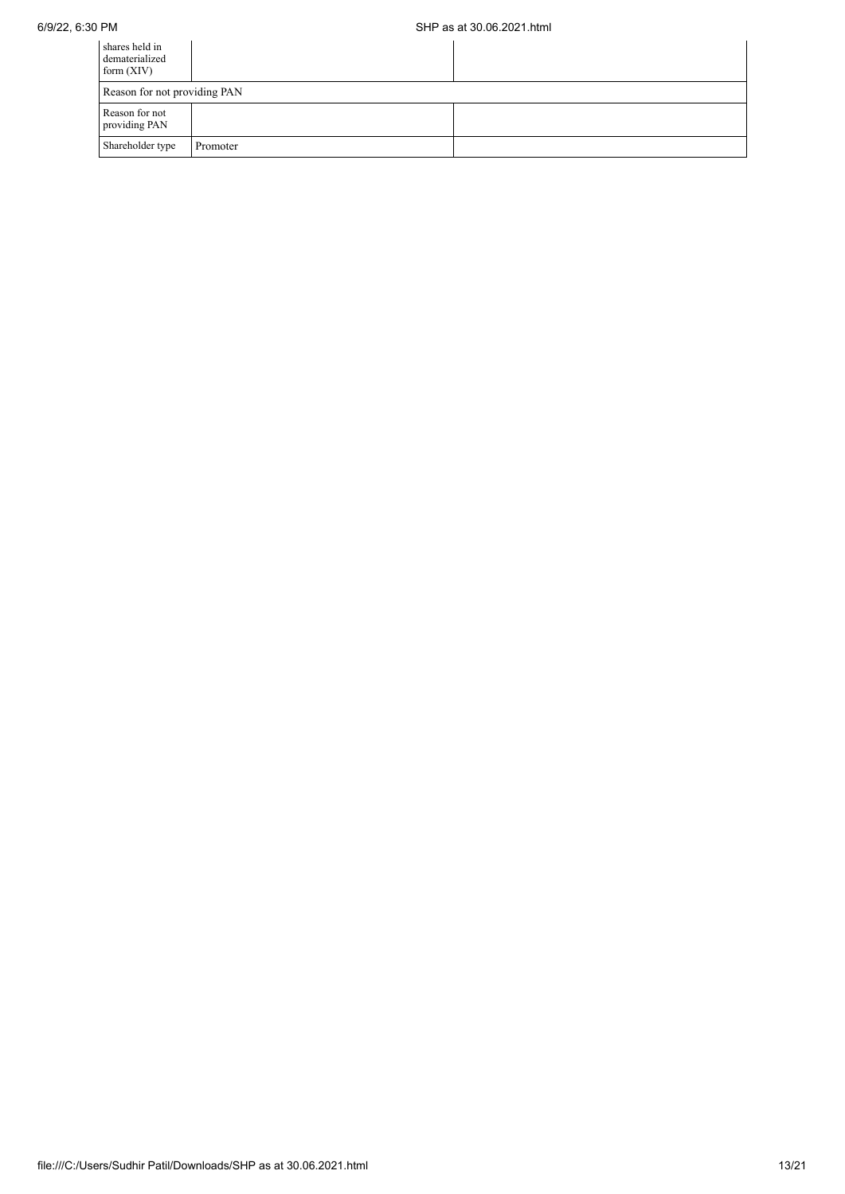| shares held in<br>dematerialized<br>form $(XIV)$ |          |  |
|--------------------------------------------------|----------|--|
| Reason for not providing PAN                     |          |  |
| Reason for not<br>providing PAN                  |          |  |
| Shareholder type                                 | Promoter |  |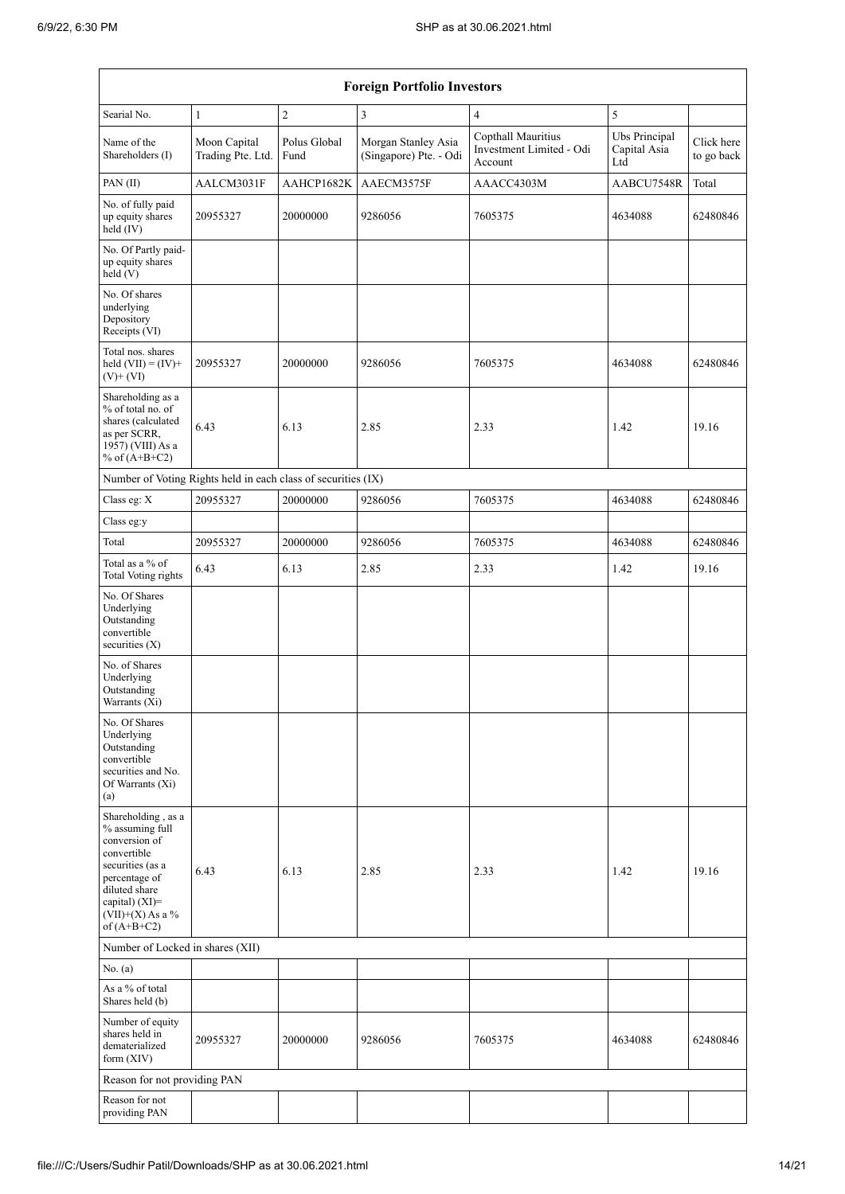| <b>Foreign Portfolio Investors</b>                                                                                                                                                   |                                   |                      |                                               |                                                           |                                      |                          |  |  |
|--------------------------------------------------------------------------------------------------------------------------------------------------------------------------------------|-----------------------------------|----------------------|-----------------------------------------------|-----------------------------------------------------------|--------------------------------------|--------------------------|--|--|
| Searial No.                                                                                                                                                                          | $\mathbf{1}$                      | $\overline{2}$       | 3                                             | $\overline{4}$                                            | 5                                    |                          |  |  |
| Name of the<br>Shareholders (I)                                                                                                                                                      | Moon Capital<br>Trading Pte. Ltd. | Polus Global<br>Fund | Morgan Stanley Asia<br>(Singapore) Pte. - Odi | Copthall Mauritius<br>Investment Limited - Odi<br>Account | Ubs Principal<br>Capital Asia<br>Ltd | Click here<br>to go back |  |  |
| PAN (II)                                                                                                                                                                             | AALCM3031F                        | AAHCP1682K           | AAECM3575F                                    | AAACC4303M                                                | AABCU7548R                           | Total                    |  |  |
| No. of fully paid<br>up equity shares<br>held (IV)                                                                                                                                   | 20955327                          | 20000000             | 9286056                                       | 7605375                                                   | 4634088                              | 62480846                 |  |  |
| No. Of Partly paid-<br>up equity shares<br>held (V)                                                                                                                                  |                                   |                      |                                               |                                                           |                                      |                          |  |  |
| No. Of shares<br>underlying<br>Depository<br>Receipts (VI)                                                                                                                           |                                   |                      |                                               |                                                           |                                      |                          |  |  |
| Total nos. shares<br>held $(VII) = (IV) +$<br>$(V)$ + $(VI)$                                                                                                                         | 20955327                          | 20000000             | 9286056                                       | 7605375                                                   | 4634088                              | 62480846                 |  |  |
| Shareholding as a<br>% of total no. of<br>shares (calculated<br>as per SCRR,<br>1957) (VIII) As a<br>% of $(A+B+C2)$                                                                 | 6.43                              | 6.13                 | 2.85                                          | 2.33                                                      | 1.42                                 | 19.16                    |  |  |
| Number of Voting Rights held in each class of securities (IX)                                                                                                                        |                                   |                      |                                               |                                                           |                                      |                          |  |  |
| Class eg: X                                                                                                                                                                          | 20955327                          | 20000000             | 9286056                                       | 7605375                                                   | 4634088                              | 62480846                 |  |  |
| Class eg:y                                                                                                                                                                           |                                   |                      |                                               |                                                           |                                      |                          |  |  |
| Total                                                                                                                                                                                | 20955327                          | 20000000             | 9286056                                       | 7605375                                                   | 4634088                              | 62480846                 |  |  |
| Total as a % of<br><b>Total Voting rights</b>                                                                                                                                        | 6.43                              | 6.13                 | 2.85                                          | 2.33                                                      | 1.42                                 | 19.16                    |  |  |
| No. Of Shares<br>Underlying<br>Outstanding<br>convertible<br>securities (X)                                                                                                          |                                   |                      |                                               |                                                           |                                      |                          |  |  |
| No. of Shares<br>Underlying<br>Outstanding<br>Warrants (Xi)                                                                                                                          |                                   |                      |                                               |                                                           |                                      |                          |  |  |
| No. Of Shares<br>Underlying<br>Outstanding<br>convertible<br>securities and No.<br>Of Warrants (Xi)<br>(a)                                                                           |                                   |                      |                                               |                                                           |                                      |                          |  |  |
| Shareholding, as a<br>% assuming full<br>conversion of<br>convertible<br>securities (as a<br>percentage of<br>diluted share<br>capital) (XI)=<br>$(VII)+(X)$ As a %<br>of $(A+B+C2)$ | 6.43                              | 6.13                 | 2.85                                          | 2.33                                                      | 1.42                                 | 19.16                    |  |  |
|                                                                                                                                                                                      | Number of Locked in shares (XII)  |                      |                                               |                                                           |                                      |                          |  |  |
| No. (a)                                                                                                                                                                              |                                   |                      |                                               |                                                           |                                      |                          |  |  |
| As a % of total<br>Shares held (b)                                                                                                                                                   |                                   |                      |                                               |                                                           |                                      |                          |  |  |
| Number of equity<br>shares held in<br>dematerialized<br>form (XIV)                                                                                                                   | 20955327                          | 20000000             | 9286056                                       | 7605375                                                   | 4634088                              | 62480846                 |  |  |
| Reason for not providing PAN                                                                                                                                                         |                                   |                      |                                               |                                                           |                                      |                          |  |  |
| Reason for not<br>providing PAN                                                                                                                                                      |                                   |                      |                                               |                                                           |                                      |                          |  |  |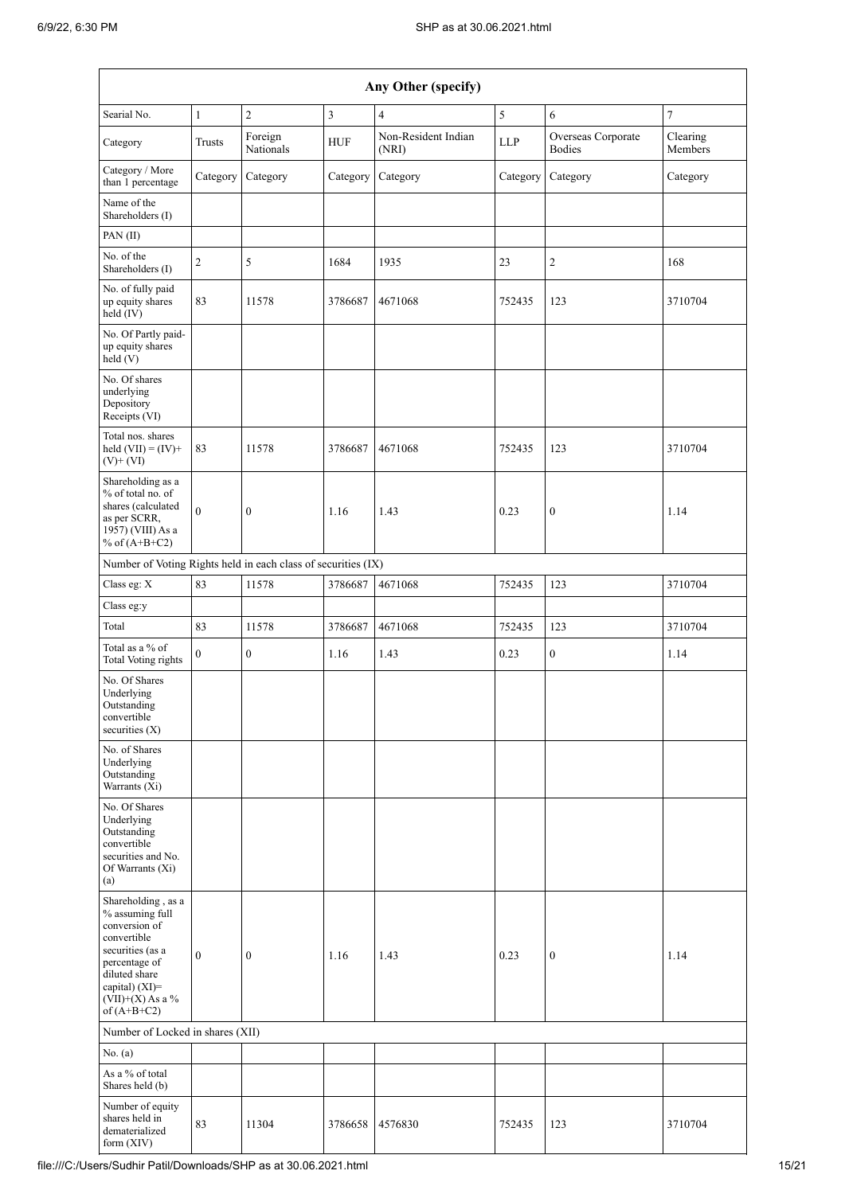|                                                                                                                                                                                                       | Any Other (specify) |                      |            |                              |            |                                     |                     |  |
|-------------------------------------------------------------------------------------------------------------------------------------------------------------------------------------------------------|---------------------|----------------------|------------|------------------------------|------------|-------------------------------------|---------------------|--|
| Searial No.                                                                                                                                                                                           | $\mathbf{1}$        | $\overline{2}$       | 3          | $\overline{4}$               | 5          | 6                                   | $\tau$              |  |
| Category                                                                                                                                                                                              | Trusts              | Foreign<br>Nationals | <b>HUF</b> | Non-Resident Indian<br>(NRI) | <b>LLP</b> | Overseas Corporate<br><b>Bodies</b> | Clearing<br>Members |  |
| Category / More<br>than 1 percentage                                                                                                                                                                  | Category            | Category             | Category   | Category                     | Category   | Category                            | Category            |  |
| Name of the<br>Shareholders (I)                                                                                                                                                                       |                     |                      |            |                              |            |                                     |                     |  |
| PAN(II)                                                                                                                                                                                               |                     |                      |            |                              |            |                                     |                     |  |
| No. of the<br>Shareholders (I)                                                                                                                                                                        | $\overline{c}$      | 5                    | 1684       | 1935                         | 23         | $\overline{c}$                      | 168                 |  |
| No. of fully paid<br>up equity shares<br>$\text{held}(\text{IV})$                                                                                                                                     | 83                  | 11578                | 3786687    | 4671068                      | 752435     | 123                                 | 3710704             |  |
| No. Of Partly paid-<br>up equity shares<br>held(V)                                                                                                                                                    |                     |                      |            |                              |            |                                     |                     |  |
| No. Of shares<br>underlying<br>Depository<br>Receipts (VI)                                                                                                                                            |                     |                      |            |                              |            |                                     |                     |  |
| Total nos. shares<br>held $(VII) = (IV) +$<br>$(V)+(VI)$                                                                                                                                              | 83                  | 11578                | 3786687    | 4671068                      | 752435     | 123                                 | 3710704             |  |
| Shareholding as a<br>% of total no. of<br>shares (calculated<br>as per SCRR,<br>1957) (VIII) As a<br>% of $(A+B+C2)$                                                                                  | $\overline{0}$      | $\boldsymbol{0}$     | 1.16       | 1.43                         | 0.23       | $\boldsymbol{0}$                    | 1.14                |  |
| Number of Voting Rights held in each class of securities (IX)                                                                                                                                         |                     |                      |            |                              |            |                                     |                     |  |
| Class eg: X                                                                                                                                                                                           | 83                  | 11578                | 3786687    | 4671068                      | 752435     | 123                                 | 3710704             |  |
| Class eg:y                                                                                                                                                                                            |                     |                      |            |                              |            |                                     |                     |  |
| Total                                                                                                                                                                                                 | 83                  | 11578                | 3786687    | 4671068                      | 752435     | 123                                 | 3710704             |  |
| Total as a % of<br>Total Voting rights                                                                                                                                                                | $\Omega$            | $\boldsymbol{0}$     | 1.16       | 1.43                         | 0.23       | $\boldsymbol{0}$                    | 1.14                |  |
| No. Of Shares<br>Underlying<br>Outstanding<br>convertible<br>securities (X)                                                                                                                           |                     |                      |            |                              |            |                                     |                     |  |
| No. of Shares<br>Underlying<br>Outstanding<br>Warrants (Xi)                                                                                                                                           |                     |                      |            |                              |            |                                     |                     |  |
| No. Of Shares<br>Underlying<br>Outstanding<br>convertible<br>securities and No.<br>Of Warrants (Xi)<br>(a)                                                                                            |                     |                      |            |                              |            |                                     |                     |  |
| Shareholding, as a<br>% assuming full<br>conversion of<br>convertible<br>securities (as a<br>percentage of<br>diluted share<br>capital) (XI)=<br>$({\rm VII}){+}({\rm X})$ As a $\%$<br>of $(A+B+C2)$ | $\boldsymbol{0}$    | $\boldsymbol{0}$     | 1.16       | 1.43                         | 0.23       | $\boldsymbol{0}$                    | 1.14                |  |
| Number of Locked in shares (XII)                                                                                                                                                                      |                     |                      |            |                              |            |                                     |                     |  |
| No. (a)<br>As a % of total<br>Shares held (b)                                                                                                                                                         |                     |                      |            |                              |            |                                     |                     |  |
| Number of equity<br>shares held in<br>dematerialized<br>form $(XIV)$                                                                                                                                  | 83                  | 11304                | 3786658    | 4576830                      | 752435     | 123                                 | 3710704             |  |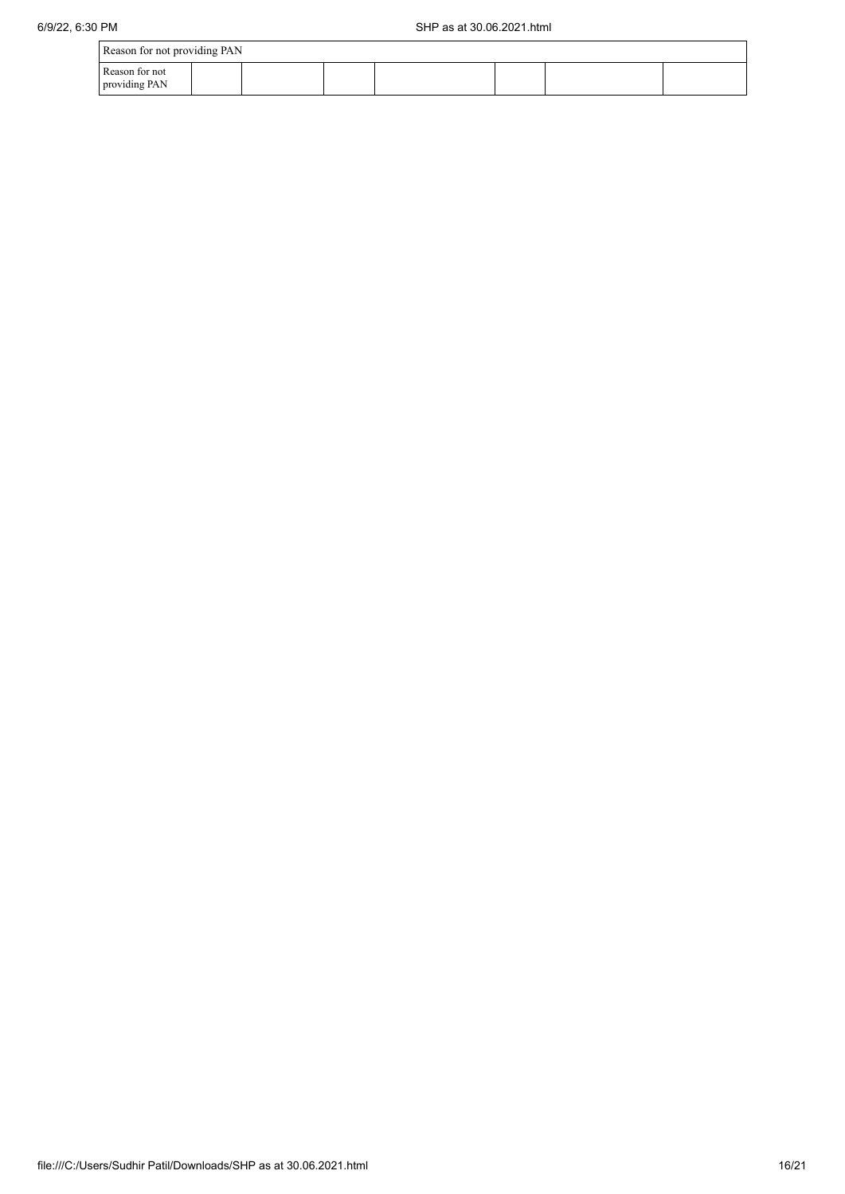| Reason for not providing PAN    |  |  |  |  |  |  |  |
|---------------------------------|--|--|--|--|--|--|--|
| Reason for not<br>providing PAN |  |  |  |  |  |  |  |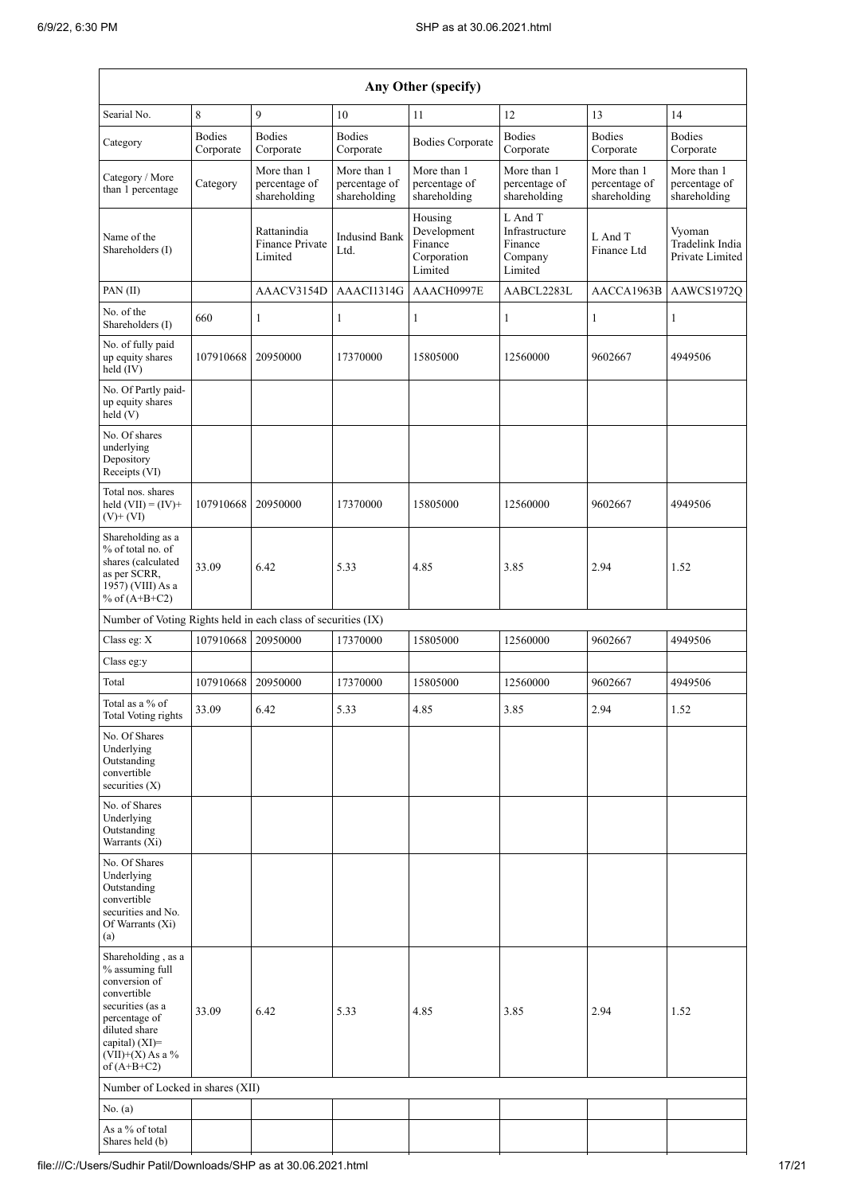| Any Other (specify)                                                                                                                                                                  |                            |                                              |                                              |                                                             |                                                            |                                              |                                              |  |
|--------------------------------------------------------------------------------------------------------------------------------------------------------------------------------------|----------------------------|----------------------------------------------|----------------------------------------------|-------------------------------------------------------------|------------------------------------------------------------|----------------------------------------------|----------------------------------------------|--|
| Searial No.                                                                                                                                                                          | 8                          | 9                                            | 10                                           | 11                                                          | 12                                                         | 13                                           | 14                                           |  |
| Category                                                                                                                                                                             | <b>Bodies</b><br>Corporate | <b>Bodies</b><br>Corporate                   | <b>Bodies</b><br>Corporate                   | <b>Bodies Corporate</b>                                     | <b>Bodies</b><br>Corporate                                 | <b>Bodies</b><br>Corporate                   | <b>Bodies</b><br>Corporate                   |  |
| Category / More<br>than 1 percentage                                                                                                                                                 | Category                   | More than 1<br>percentage of<br>shareholding | More than 1<br>percentage of<br>shareholding | More than 1<br>percentage of<br>shareholding                | More than 1<br>percentage of<br>shareholding               | More than 1<br>percentage of<br>shareholding | More than 1<br>percentage of<br>shareholding |  |
| Name of the<br>Shareholders (I)                                                                                                                                                      |                            | Rattanindia<br>Finance Private<br>Limited    | <b>Indusind Bank</b><br>Ltd.                 | Housing<br>Development<br>Finance<br>Corporation<br>Limited | L And T<br>Infrastructure<br>Finance<br>Company<br>Limited | L And T<br>Finance Ltd                       | Vyoman<br>Tradelink India<br>Private Limited |  |
| PAN(II)                                                                                                                                                                              |                            | AAACV3154D                                   | AAACI1314G                                   | AAACH0997E                                                  | AABCL2283L                                                 | AACCA1963B                                   | AAWCS1972Q                                   |  |
| No. of the<br>Shareholders (I)                                                                                                                                                       | 660                        | $\mathbf{1}$                                 | $\mathbf{1}$                                 | $\mathbf{1}$                                                | $\mathbf{1}$                                               | $\mathbf{1}$                                 | 1                                            |  |
| No. of fully paid<br>up equity shares<br>held (IV)                                                                                                                                   | 107910668                  | 20950000                                     | 17370000                                     | 15805000                                                    | 12560000                                                   | 9602667                                      | 4949506                                      |  |
| No. Of Partly paid-<br>up equity shares<br>held (V)                                                                                                                                  |                            |                                              |                                              |                                                             |                                                            |                                              |                                              |  |
| No. Of shares<br>underlying<br>Depository<br>Receipts (VI)                                                                                                                           |                            |                                              |                                              |                                                             |                                                            |                                              |                                              |  |
| Total nos. shares<br>held $(VII) = (IV)+$<br>$(V)$ + $(VI)$                                                                                                                          | 107910668                  | 20950000                                     | 17370000                                     | 15805000                                                    | 12560000                                                   | 9602667                                      | 4949506                                      |  |
| Shareholding as a<br>% of total no. of<br>shares (calculated<br>as per SCRR,<br>1957) (VIII) As a<br>% of $(A+B+C2)$                                                                 | 33.09                      | 6.42                                         | 5.33                                         | 4.85                                                        | 3.85                                                       | 2.94                                         | 1.52                                         |  |
| Number of Voting Rights held in each class of securities (IX)                                                                                                                        |                            |                                              |                                              |                                                             |                                                            |                                              |                                              |  |
| Class eg: X                                                                                                                                                                          | 107910668                  | 20950000                                     | 17370000                                     | 15805000                                                    | 12560000                                                   | 9602667                                      | 4949506                                      |  |
| Class eg:y                                                                                                                                                                           |                            |                                              |                                              |                                                             |                                                            |                                              |                                              |  |
| Total                                                                                                                                                                                | 107910668                  | 20950000                                     | 17370000                                     | 15805000                                                    | 12560000                                                   | 9602667                                      | 4949506                                      |  |
| Total as a % of<br><b>Total Voting rights</b>                                                                                                                                        | 33.09                      | 6.42                                         | 5.33                                         | 4.85                                                        | 3.85                                                       | 2.94                                         | 1.52                                         |  |
| No. Of Shares<br>Underlying<br>Outstanding<br>convertible<br>securities $(X)$                                                                                                        |                            |                                              |                                              |                                                             |                                                            |                                              |                                              |  |
| No. of Shares<br>Underlying<br>Outstanding<br>Warrants (Xi)                                                                                                                          |                            |                                              |                                              |                                                             |                                                            |                                              |                                              |  |
| No. Of Shares<br>Underlying<br>Outstanding<br>convertible<br>securities and No.<br>Of Warrants (Xi)<br>(a)                                                                           |                            |                                              |                                              |                                                             |                                                            |                                              |                                              |  |
| Shareholding, as a<br>% assuming full<br>conversion of<br>convertible<br>securities (as a<br>percentage of<br>diluted share<br>capital) (XI)=<br>$(VII)+(X)$ As a %<br>of $(A+B+C2)$ | 33.09                      | 6.42                                         | 5.33                                         | 4.85                                                        | 3.85                                                       | 2.94                                         | 1.52                                         |  |
| Number of Locked in shares (XII)                                                                                                                                                     |                            |                                              |                                              |                                                             |                                                            |                                              |                                              |  |
| No. (a)                                                                                                                                                                              |                            |                                              |                                              |                                                             |                                                            |                                              |                                              |  |
| As a % of total<br>Shares held (b)                                                                                                                                                   |                            |                                              |                                              |                                                             |                                                            |                                              |                                              |  |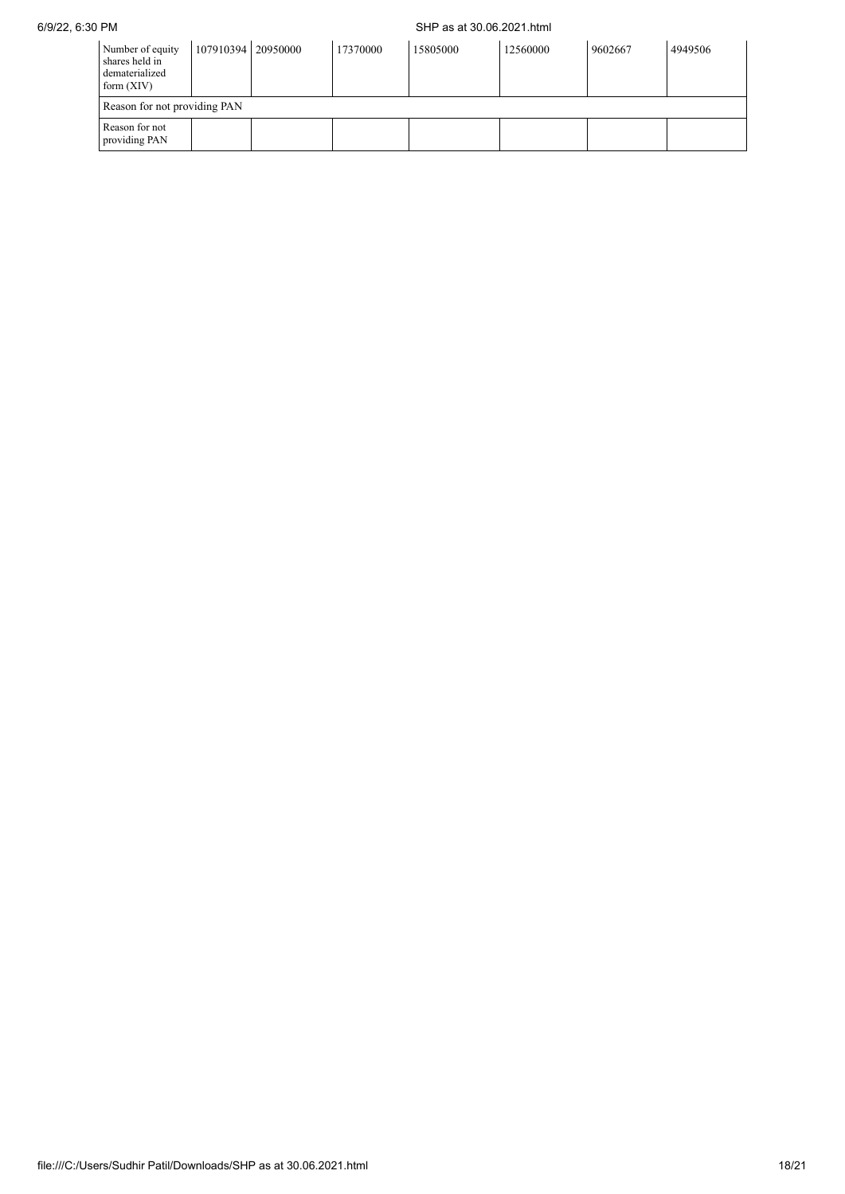## 6/9/22, 6:30 PM SHP as at 30.06.2021.html

| Number of equity<br>shares held in<br>dematerialized<br>form $(XIV)$ | 107910394 20950000 | 17370000 | 15805000 | 12560000 | 9602667 | 4949506 |
|----------------------------------------------------------------------|--------------------|----------|----------|----------|---------|---------|
| Reason for not providing PAN                                         |                    |          |          |          |         |         |
| Reason for not<br>providing PAN                                      |                    |          |          |          |         |         |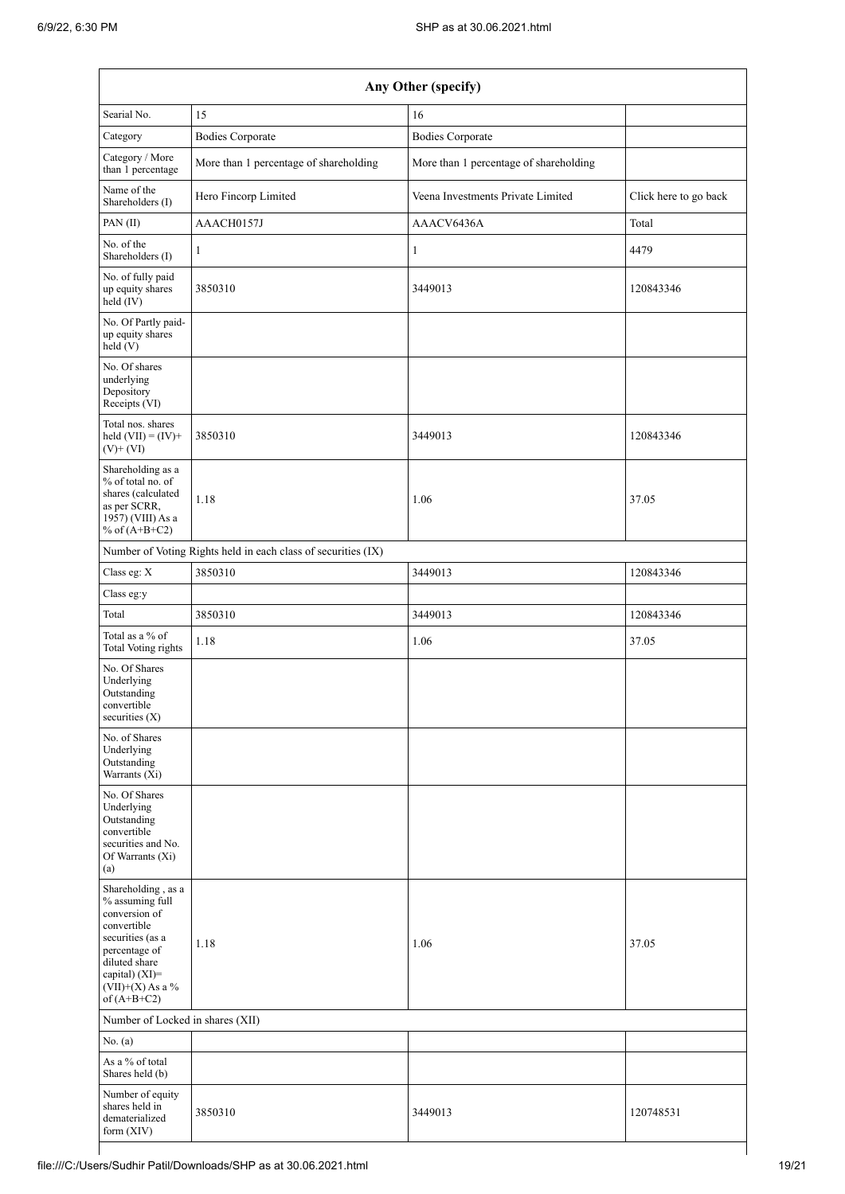| Any Other (specify)                                                                                                                                                                |                                                               |                                        |                       |  |  |  |  |
|------------------------------------------------------------------------------------------------------------------------------------------------------------------------------------|---------------------------------------------------------------|----------------------------------------|-----------------------|--|--|--|--|
| Searial No.                                                                                                                                                                        | 15                                                            | 16                                     |                       |  |  |  |  |
| Category                                                                                                                                                                           | <b>Bodies Corporate</b>                                       | <b>Bodies Corporate</b>                |                       |  |  |  |  |
| Category / More<br>than 1 percentage                                                                                                                                               | More than 1 percentage of shareholding                        | More than 1 percentage of shareholding |                       |  |  |  |  |
| Name of the<br>Shareholders (I)                                                                                                                                                    | Hero Fincorp Limited                                          | Veena Investments Private Limited      | Click here to go back |  |  |  |  |
| PAN(II)                                                                                                                                                                            | AAACH0157J                                                    | AAACV6436A                             | Total                 |  |  |  |  |
| No. of the<br>Shareholders (I)                                                                                                                                                     | 1                                                             | $\mathbf{1}$                           | 4479                  |  |  |  |  |
| No. of fully paid<br>up equity shares<br>held (IV)                                                                                                                                 | 3850310                                                       | 3449013                                | 120843346             |  |  |  |  |
| No. Of Partly paid-<br>up equity shares<br>held (V)                                                                                                                                |                                                               |                                        |                       |  |  |  |  |
| No. Of shares<br>underlying<br>Depository<br>Receipts (VI)                                                                                                                         |                                                               |                                        |                       |  |  |  |  |
| Total nos. shares<br>held $(VII) = (IV) +$<br>$(V)$ + $(VI)$                                                                                                                       | 3850310                                                       | 3449013                                | 120843346             |  |  |  |  |
| Shareholding as a<br>% of total no. of<br>shares (calculated<br>as per SCRR,<br>1957) (VIII) As a<br>% of $(A+B+C2)$                                                               | 1.18                                                          | 1.06                                   | 37.05                 |  |  |  |  |
|                                                                                                                                                                                    | Number of Voting Rights held in each class of securities (IX) |                                        |                       |  |  |  |  |
| Class eg: $X$                                                                                                                                                                      | 3850310                                                       | 3449013                                | 120843346             |  |  |  |  |
| Class eg:y                                                                                                                                                                         |                                                               |                                        |                       |  |  |  |  |
| Total                                                                                                                                                                              | 3850310                                                       | 3449013                                | 120843346             |  |  |  |  |
| Total as a % of<br><b>Total Voting rights</b>                                                                                                                                      | 1.18                                                          | 1.06                                   | 37.05                 |  |  |  |  |
| No. Of Shares<br>Underlying<br>Outstanding<br>convertible<br>securities $(X)$                                                                                                      |                                                               |                                        |                       |  |  |  |  |
| No. of Shares<br>Underlying<br>Outstanding<br>Warrants (Xi)                                                                                                                        |                                                               |                                        |                       |  |  |  |  |
| No. Of Shares<br>Underlying<br>Outstanding<br>convertible<br>securities and No.<br>Of Warrants (Xi)<br>(a)                                                                         |                                                               |                                        |                       |  |  |  |  |
| Shareholding, as a<br>% assuming full<br>conversion of<br>convertible<br>securities (as a<br>percentage of<br>diluted share<br>capital) (XI)=<br>(VII)+(X) As a %<br>of $(A+B+C2)$ | 1.18                                                          | 1.06                                   | 37.05                 |  |  |  |  |
| Number of Locked in shares (XII)                                                                                                                                                   |                                                               |                                        |                       |  |  |  |  |
| No. (a)                                                                                                                                                                            |                                                               |                                        |                       |  |  |  |  |
| As a % of total<br>Shares held (b)                                                                                                                                                 |                                                               |                                        |                       |  |  |  |  |
| Number of equity<br>shares held in<br>dematerialized<br>form (XIV)                                                                                                                 | 3850310                                                       | 3449013                                | 120748531             |  |  |  |  |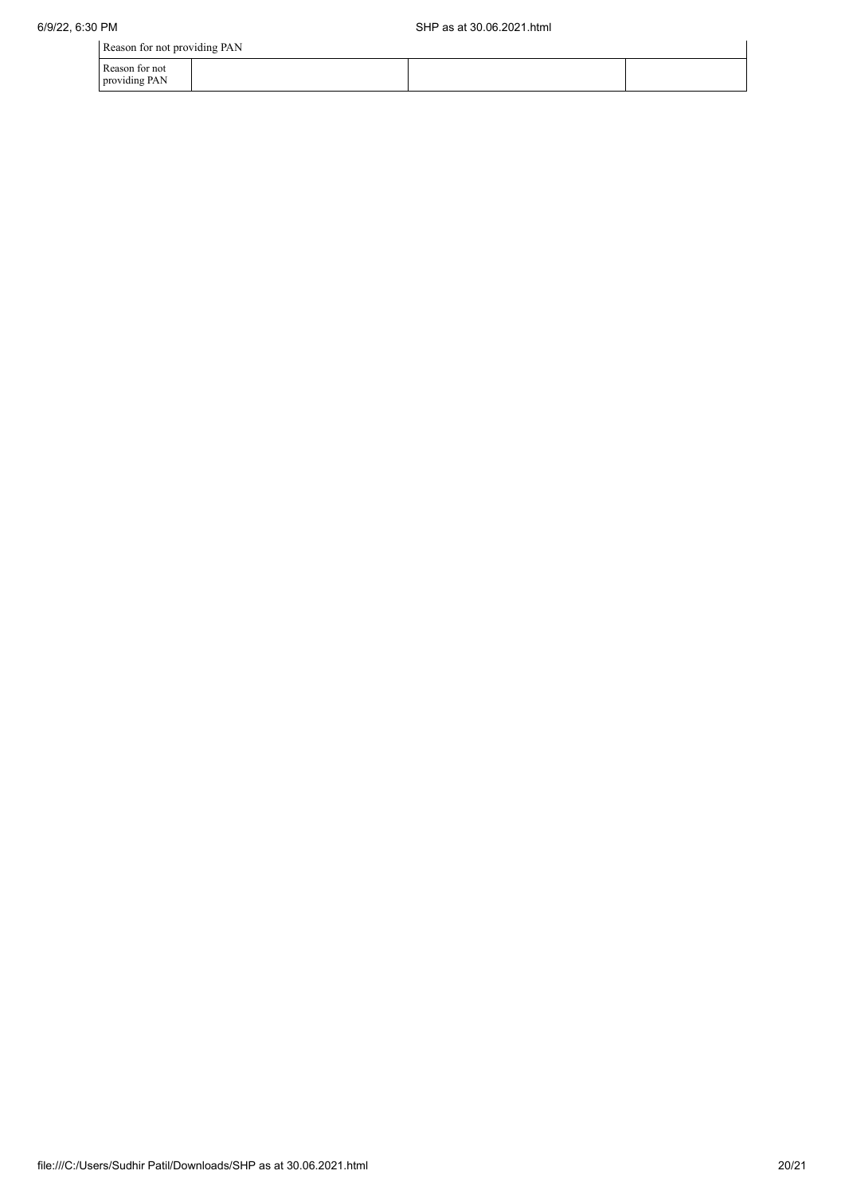Reason for not providing PAN

| Reason for not providing PAN    |  |  |
|---------------------------------|--|--|
| Reason for not<br>providing PAN |  |  |